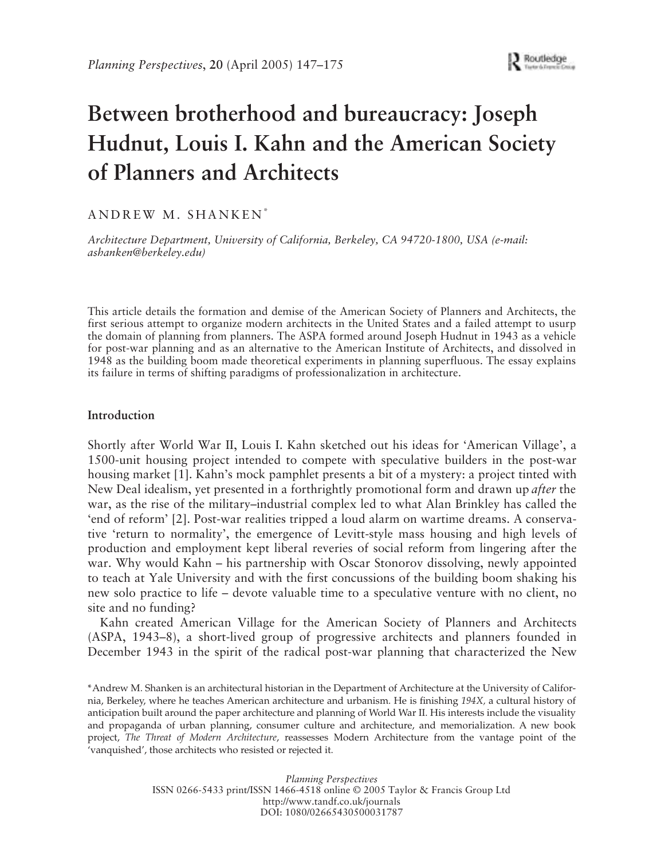# **Between brotherhood and bureaucracy: Joseph Hudnut, Louis I. Kahn and the American Society of Planners and Architects**

# ANDREW M. SHANKEN \*

*Architecture Department, University of California, Berkeley, CA 94720-1800, USA (e-mail: ashanken@berkeley.edu)*

This article details the formation and demise of the American Society of Planners and Architects, the first serious attempt to organize modern architects in the United States and a failed attempt to usurp the domain of planning from planners. The ASPA formed around Joseph Hudnut in 1943 as a vehicle for post-war planning and as an alternative to the American Institute of Architects, and dissolved in 1948 as the building boom made theoretical experiments in planning superfluous. The essay explains its failure in terms of shifting paradigms of professionalization in architecture.

# **Introduction**

Shortly after World War II, Louis I. Kahn sketched out his ideas for 'American Village', a 1500-unit housing project intended to compete with speculative builders in the post-war housing market [1]. Kahn's mock pamphlet presents a bit of a mystery: a project tinted with New Deal idealism, yet presented in a forthrightly promotional form and drawn up *after* the war, as the rise of the military–industrial complex led to what Alan Brinkley has called the 'end of reform' [2]. Post-war realities tripped a loud alarm on wartime dreams. A conservative 'return to normality', the emergence of Levitt-style mass housing and high levels of production and employment kept liberal reveries of social reform from lingering after the war. Why would Kahn – his partnership with Oscar Stonorov dissolving, newly appointed to teach at Yale University and with the first concussions of the building boom shaking his new solo practice to life – devote valuable time to a speculative venture with no client, no site and no funding?

Kahn created American Village for the American Society of Planners and Architects (ASPA, 1943–8), a short-lived group of progressive architects and planners founded in December 1943 in the spirit of the radical post-war planning that characterized the New

\*Andrew M. Shanken is an architectural historian in the Department of Architecture at the University of California, Berkeley, where he teaches American architecture and urbanism. He is finishing *194X,* a cultural history of anticipation built around the paper architecture and planning of World War II. His interests include the visuality and propaganda of urban planning, consumer culture and architecture, and memorialization. A new book project, *The Threat of Modern Architecture*, reassesses Modern Architecture from the vantage point of the 'vanquished', those architects who resisted or rejected it.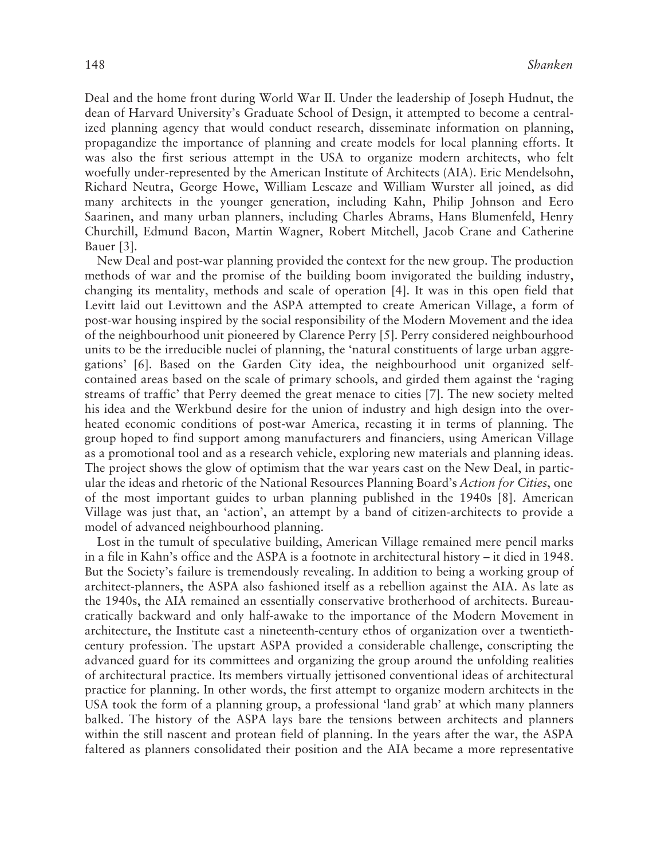Deal and the home front during World War II. Under the leadership of Joseph Hudnut, the dean of Harvard University's Graduate School of Design, it attempted to become a centralized planning agency that would conduct research, disseminate information on planning, propagandize the importance of planning and create models for local planning efforts. It was also the first serious attempt in the USA to organize modern architects, who felt woefully under-represented by the American Institute of Architects (AIA). Eric Mendelsohn, Richard Neutra, George Howe, William Lescaze and William Wurster all joined, as did many architects in the younger generation, including Kahn, Philip Johnson and Eero Saarinen, and many urban planners, including Charles Abrams, Hans Blumenfeld, Henry Churchill, Edmund Bacon, Martin Wagner, Robert Mitchell, Jacob Crane and Catherine Bauer [3].

New Deal and post-war planning provided the context for the new group. The production methods of war and the promise of the building boom invigorated the building industry, changing its mentality, methods and scale of operation [4]. It was in this open field that Levitt laid out Levittown and the ASPA attempted to create American Village, a form of post-war housing inspired by the social responsibility of the Modern Movement and the idea of the neighbourhood unit pioneered by Clarence Perry [5]. Perry considered neighbourhood units to be the irreducible nuclei of planning, the 'natural constituents of large urban aggregations' [6]. Based on the Garden City idea, the neighbourhood unit organized selfcontained areas based on the scale of primary schools, and girded them against the 'raging streams of traffic' that Perry deemed the great menace to cities [7]. The new society melted his idea and the Werkbund desire for the union of industry and high design into the overheated economic conditions of post-war America, recasting it in terms of planning. The group hoped to find support among manufacturers and financiers, using American Village as a promotional tool and as a research vehicle, exploring new materials and planning ideas. The project shows the glow of optimism that the war years cast on the New Deal, in particular the ideas and rhetoric of the National Resources Planning Board's *Action for Cities*, one of the most important guides to urban planning published in the 1940s [8]. American Village was just that, an 'action', an attempt by a band of citizen-architects to provide a model of advanced neighbourhood planning.

Lost in the tumult of speculative building, American Village remained mere pencil marks in a file in Kahn's office and the ASPA is a footnote in architectural history – it died in 1948. But the Society's failure is tremendously revealing. In addition to being a working group of architect-planners, the ASPA also fashioned itself as a rebellion against the AIA. As late as the 1940s, the AIA remained an essentially conservative brotherhood of architects. Bureaucratically backward and only half-awake to the importance of the Modern Movement in architecture, the Institute cast a nineteenth-century ethos of organization over a twentiethcentury profession. The upstart ASPA provided a considerable challenge, conscripting the advanced guard for its committees and organizing the group around the unfolding realities of architectural practice. Its members virtually jettisoned conventional ideas of architectural practice for planning. In other words, the first attempt to organize modern architects in the USA took the form of a planning group, a professional 'land grab' at which many planners balked. The history of the ASPA lays bare the tensions between architects and planners within the still nascent and protean field of planning. In the years after the war, the ASPA faltered as planners consolidated their position and the AIA became a more representative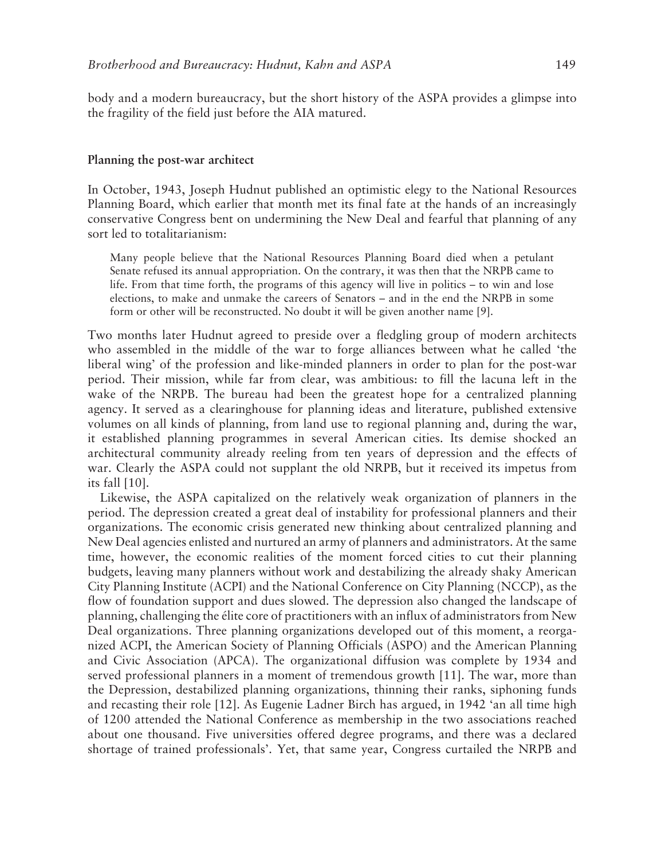body and a modern bureaucracy, but the short history of the ASPA provides a glimpse into the fragility of the field just before the AIA matured.

# **Planning the post-war architect**

In October, 1943, Joseph Hudnut published an optimistic elegy to the National Resources Planning Board, which earlier that month met its final fate at the hands of an increasingly conservative Congress bent on undermining the New Deal and fearful that planning of any sort led to totalitarianism:

Many people believe that the National Resources Planning Board died when a petulant Senate refused its annual appropriation. On the contrary, it was then that the NRPB came to life. From that time forth, the programs of this agency will live in politics – to win and lose elections, to make and unmake the careers of Senators – and in the end the NRPB in some form or other will be reconstructed. No doubt it will be given another name [9].

Two months later Hudnut agreed to preside over a fledgling group of modern architects who assembled in the middle of the war to forge alliances between what he called 'the liberal wing' of the profession and like-minded planners in order to plan for the post-war period. Their mission, while far from clear, was ambitious: to fill the lacuna left in the wake of the NRPB. The bureau had been the greatest hope for a centralized planning agency. It served as a clearinghouse for planning ideas and literature, published extensive volumes on all kinds of planning, from land use to regional planning and, during the war, it established planning programmes in several American cities. Its demise shocked an architectural community already reeling from ten years of depression and the effects of war. Clearly the ASPA could not supplant the old NRPB, but it received its impetus from its fall [10].

Likewise, the ASPA capitalized on the relatively weak organization of planners in the period. The depression created a great deal of instability for professional planners and their organizations. The economic crisis generated new thinking about centralized planning and New Deal agencies enlisted and nurtured an army of planners and administrators. At the same time, however, the economic realities of the moment forced cities to cut their planning budgets, leaving many planners without work and destabilizing the already shaky American City Planning Institute (ACPI) and the National Conference on City Planning (NCCP), as the flow of foundation support and dues slowed. The depression also changed the landscape of planning, challenging the élite core of practitioners with an influx of administrators from New Deal organizations. Three planning organizations developed out of this moment, a reorganized ACPI, the American Society of Planning Officials (ASPO) and the American Planning and Civic Association (APCA). The organizational diffusion was complete by 1934 and served professional planners in a moment of tremendous growth [11]. The war, more than the Depression, destabilized planning organizations, thinning their ranks, siphoning funds and recasting their role [12]. As Eugenie Ladner Birch has argued, in 1942 'an all time high of 1200 attended the National Conference as membership in the two associations reached about one thousand. Five universities offered degree programs, and there was a declared shortage of trained professionals'. Yet, that same year, Congress curtailed the NRPB and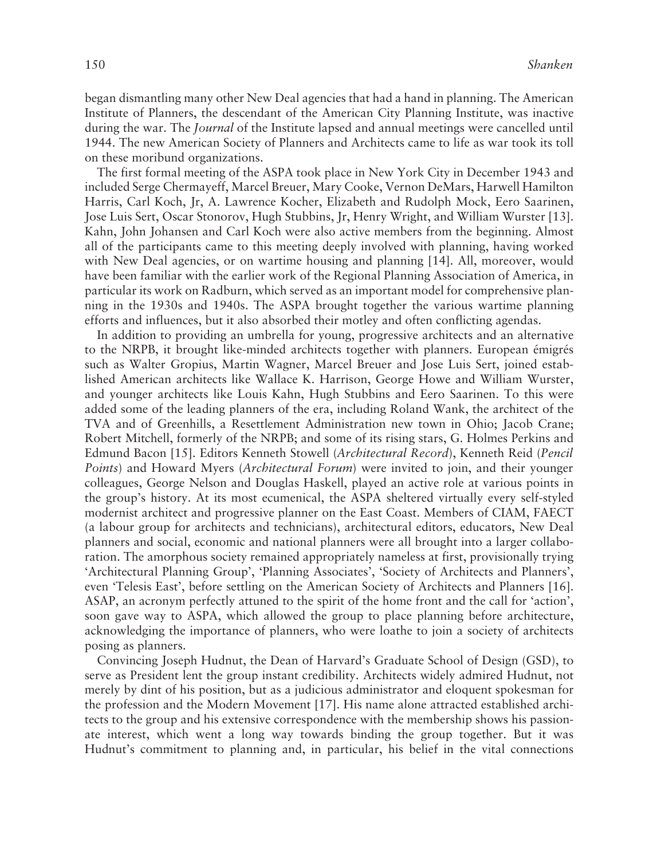began dismantling many other New Deal agencies that had a hand in planning. The American Institute of Planners, the descendant of the American City Planning Institute, was inactive during the war. The *Journal* of the Institute lapsed and annual meetings were cancelled until 1944. The new American Society of Planners and Architects came to life as war took its toll on these moribund organizations.

The first formal meeting of the ASPA took place in New York City in December 1943 and included Serge Chermayeff, Marcel Breuer, Mary Cooke, Vernon DeMars, Harwell Hamilton Harris, Carl Koch, Jr, A. Lawrence Kocher, Elizabeth and Rudolph Mock, Eero Saarinen, Jose Luis Sert, Oscar Stonorov, Hugh Stubbins, Jr, Henry Wright, and William Wurster [13]. Kahn, John Johansen and Carl Koch were also active members from the beginning. Almost all of the participants came to this meeting deeply involved with planning, having worked with New Deal agencies, or on wartime housing and planning [14]. All, moreover, would have been familiar with the earlier work of the Regional Planning Association of America, in particular its work on Radburn, which served as an important model for comprehensive planning in the 1930s and 1940s. The ASPA brought together the various wartime planning efforts and influences, but it also absorbed their motley and often conflicting agendas.

In addition to providing an umbrella for young, progressive architects and an alternative to the NRPB, it brought like-minded architects together with planners. European émigrés such as Walter Gropius, Martin Wagner, Marcel Breuer and Jose Luis Sert, joined established American architects like Wallace K. Harrison, George Howe and William Wurster, and younger architects like Louis Kahn, Hugh Stubbins and Eero Saarinen. To this were added some of the leading planners of the era, including Roland Wank, the architect of the TVA and of Greenhills, a Resettlement Administration new town in Ohio; Jacob Crane; Robert Mitchell, formerly of the NRPB; and some of its rising stars, G. Holmes Perkins and Edmund Bacon [15]. Editors Kenneth Stowell (*Architectural Record*), Kenneth Reid (*Pencil Points*) and Howard Myers (*Architectural Forum*) were invited to join, and their younger colleagues, George Nelson and Douglas Haskell, played an active role at various points in the group's history. At its most ecumenical, the ASPA sheltered virtually every self-styled modernist architect and progressive planner on the East Coast. Members of CIAM, FAECT (a labour group for architects and technicians), architectural editors, educators, New Deal planners and social, economic and national planners were all brought into a larger collaboration. The amorphous society remained appropriately nameless at first, provisionally trying 'Architectural Planning Group', 'Planning Associates', 'Society of Architects and Planners', even 'Telesis East', before settling on the American Society of Architects and Planners [16]. ASAP, an acronym perfectly attuned to the spirit of the home front and the call for 'action', soon gave way to ASPA, which allowed the group to place planning before architecture, acknowledging the importance of planners, who were loathe to join a society of architects posing as planners.

Convincing Joseph Hudnut, the Dean of Harvard's Graduate School of Design (GSD), to serve as President lent the group instant credibility. Architects widely admired Hudnut, not merely by dint of his position, but as a judicious administrator and eloquent spokesman for the profession and the Modern Movement [17]. His name alone attracted established architects to the group and his extensive correspondence with the membership shows his passionate interest, which went a long way towards binding the group together. But it was Hudnut's commitment to planning and, in particular, his belief in the vital connections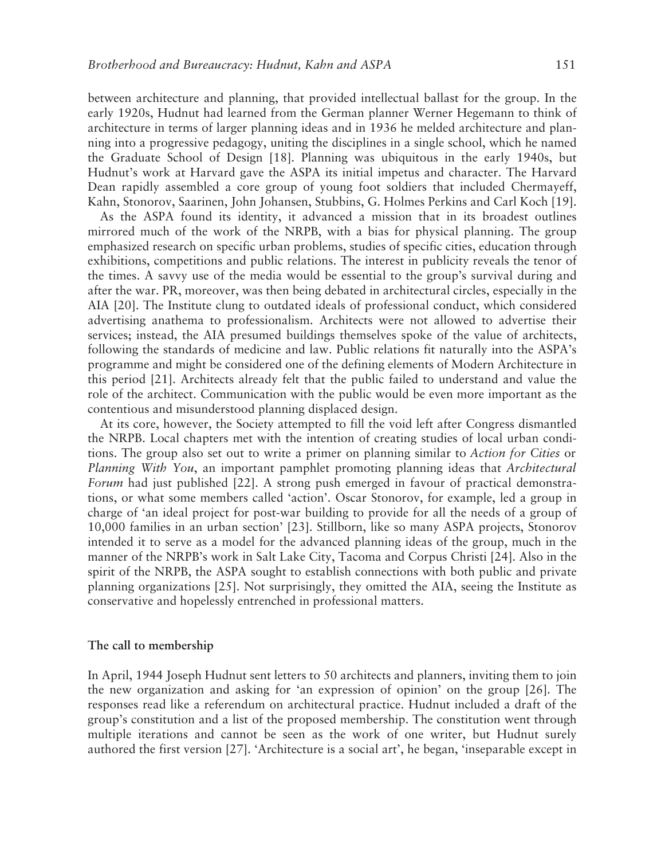between architecture and planning, that provided intellectual ballast for the group. In the early 1920s, Hudnut had learned from the German planner Werner Hegemann to think of architecture in terms of larger planning ideas and in 1936 he melded architecture and planning into a progressive pedagogy, uniting the disciplines in a single school, which he named the Graduate School of Design [18]. Planning was ubiquitous in the early 1940s, but Hudnut's work at Harvard gave the ASPA its initial impetus and character. The Harvard Dean rapidly assembled a core group of young foot soldiers that included Chermayeff, Kahn, Stonorov, Saarinen, John Johansen, Stubbins, G. Holmes Perkins and Carl Koch [19].

As the ASPA found its identity, it advanced a mission that in its broadest outlines mirrored much of the work of the NRPB, with a bias for physical planning. The group emphasized research on specific urban problems, studies of specific cities, education through exhibitions, competitions and public relations. The interest in publicity reveals the tenor of the times. A savvy use of the media would be essential to the group's survival during and after the war. PR, moreover, was then being debated in architectural circles, especially in the AIA [20]. The Institute clung to outdated ideals of professional conduct, which considered advertising anathema to professionalism. Architects were not allowed to advertise their services; instead, the AIA presumed buildings themselves spoke of the value of architects, following the standards of medicine and law. Public relations fit naturally into the ASPA's programme and might be considered one of the defining elements of Modern Architecture in this period [21]. Architects already felt that the public failed to understand and value the role of the architect. Communication with the public would be even more important as the contentious and misunderstood planning displaced design.

At its core, however, the Society attempted to fill the void left after Congress dismantled the NRPB. Local chapters met with the intention of creating studies of local urban conditions. The group also set out to write a primer on planning similar to *Action for Cities* or *Planning With You*, an important pamphlet promoting planning ideas that *Architectural Forum* had just published [22]. A strong push emerged in favour of practical demonstrations, or what some members called 'action'. Oscar Stonorov, for example, led a group in charge of 'an ideal project for post-war building to provide for all the needs of a group of 10,000 families in an urban section' [23]. Stillborn, like so many ASPA projects, Stonorov intended it to serve as a model for the advanced planning ideas of the group, much in the manner of the NRPB's work in Salt Lake City, Tacoma and Corpus Christi [24]. Also in the spirit of the NRPB, the ASPA sought to establish connections with both public and private planning organizations [25]. Not surprisingly, they omitted the AIA, seeing the Institute as conservative and hopelessly entrenched in professional matters.

#### **The call to membership**

In April, 1944 Joseph Hudnut sent letters to 50 architects and planners, inviting them to join the new organization and asking for 'an expression of opinion' on the group [26]. The responses read like a referendum on architectural practice. Hudnut included a draft of the group's constitution and a list of the proposed membership. The constitution went through multiple iterations and cannot be seen as the work of one writer, but Hudnut surely authored the first version [27]. 'Architecture is a social art', he began, 'inseparable except in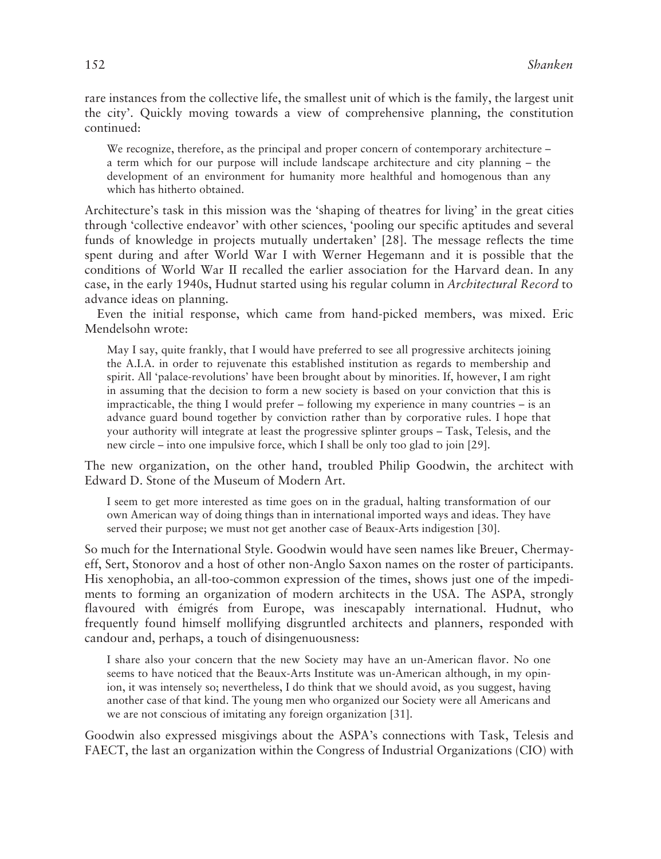rare instances from the collective life, the smallest unit of which is the family, the largest unit the city'. Quickly moving towards a view of comprehensive planning, the constitution continued:

We recognize, therefore, as the principal and proper concern of contemporary architecture – a term which for our purpose will include landscape architecture and city planning – the development of an environment for humanity more healthful and homogenous than any which has hitherto obtained.

Architecture's task in this mission was the 'shaping of theatres for living' in the great cities through 'collective endeavor' with other sciences, 'pooling our specific aptitudes and several funds of knowledge in projects mutually undertaken' [28]. The message reflects the time spent during and after World War I with Werner Hegemann and it is possible that the conditions of World War II recalled the earlier association for the Harvard dean. In any case, in the early 1940s, Hudnut started using his regular column in *Architectural Record* to advance ideas on planning.

Even the initial response, which came from hand-picked members, was mixed. Eric Mendelsohn wrote:

May I say, quite frankly, that I would have preferred to see all progressive architects joining the A.I.A. in order to rejuvenate this established institution as regards to membership and spirit. All 'palace-revolutions' have been brought about by minorities. If, however, I am right in assuming that the decision to form a new society is based on your conviction that this is impracticable, the thing I would prefer – following my experience in many countries – is an advance guard bound together by conviction rather than by corporative rules. I hope that your authority will integrate at least the progressive splinter groups – Task, Telesis, and the new circle – into one impulsive force, which I shall be only too glad to join [29].

The new organization, on the other hand, troubled Philip Goodwin, the architect with Edward D. Stone of the Museum of Modern Art.

I seem to get more interested as time goes on in the gradual, halting transformation of our own American way of doing things than in international imported ways and ideas. They have served their purpose; we must not get another case of Beaux-Arts indigestion [30].

So much for the International Style. Goodwin would have seen names like Breuer, Chermayeff, Sert, Stonorov and a host of other non-Anglo Saxon names on the roster of participants. His xenophobia, an all-too-common expression of the times, shows just one of the impediments to forming an organization of modern architects in the USA. The ASPA, strongly flavoured with émigrés from Europe, was inescapably international. Hudnut, who frequently found himself mollifying disgruntled architects and planners, responded with candour and, perhaps, a touch of disingenuousness:

I share also your concern that the new Society may have an un-American flavor. No one seems to have noticed that the Beaux-Arts Institute was un-American although, in my opinion, it was intensely so; nevertheless, I do think that we should avoid, as you suggest, having another case of that kind. The young men who organized our Society were all Americans and we are not conscious of imitating any foreign organization [31].

Goodwin also expressed misgivings about the ASPA's connections with Task, Telesis and FAECT, the last an organization within the Congress of Industrial Organizations (CIO) with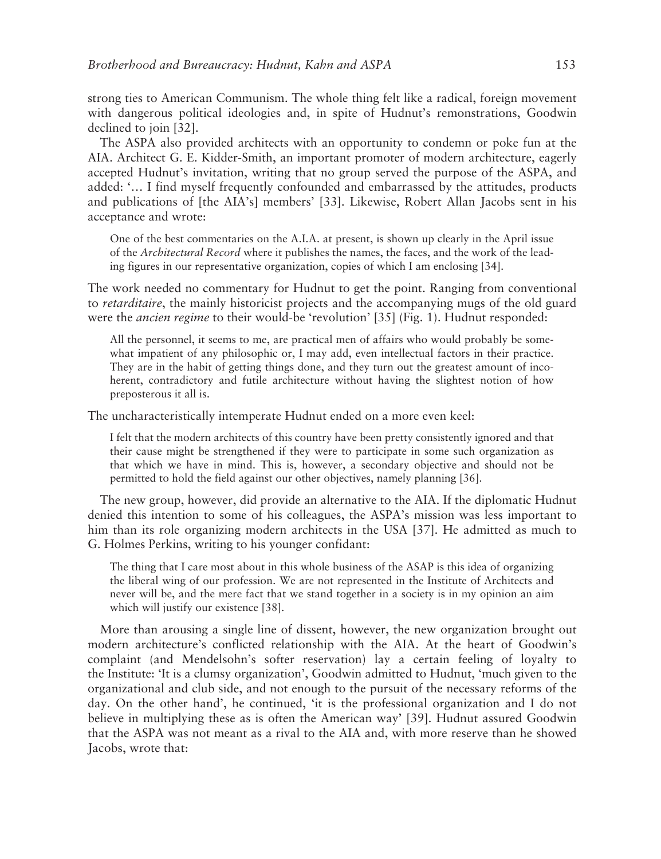strong ties to American Communism. The whole thing felt like a radical, foreign movement with dangerous political ideologies and, in spite of Hudnut's remonstrations, Goodwin declined to join [32].

The ASPA also provided architects with an opportunity to condemn or poke fun at the AIA. Architect G. E. Kidder-Smith, an important promoter of modern architecture, eagerly accepted Hudnut's invitation, writing that no group served the purpose of the ASPA, and added: '… I find myself frequently confounded and embarrassed by the attitudes, products and publications of [the AIA's] members' [33]. Likewise, Robert Allan Jacobs sent in his acceptance and wrote:

One of the best commentaries on the A.I.A. at present, is shown up clearly in the April issue of the *Architectural Record* where it publishes the names, the faces, and the work of the leading figures in our representative organization, copies of which I am enclosing [34].

The work needed no commentary for Hudnut to get the point. Ranging from conventional to *retarditaire*, the mainly historicist projects and the accompanying mugs of the old guard were the *ancien regime* to their would-be 'revolution' [35] (Fig. 1). Hudnut responded:

All the personnel, it seems to me, are practical men of affairs who would probably be somewhat impatient of any philosophic or, I may add, even intellectual factors in their practice. They are in the habit of getting things done, and they turn out the greatest amount of incoherent, contradictory and futile architecture without having the slightest notion of how preposterous it all is.

The uncharacteristically intemperate Hudnut ended on a more even keel:

I felt that the modern architects of this country have been pretty consistently ignored and that their cause might be strengthened if they were to participate in some such organization as that which we have in mind. This is, however, a secondary objective and should not be permitted to hold the field against our other objectives, namely planning [36].

The new group, however, did provide an alternative to the AIA. If the diplomatic Hudnut denied this intention to some of his colleagues, the ASPA's mission was less important to him than its role organizing modern architects in the USA [37]. He admitted as much to G. Holmes Perkins, writing to his younger confidant:

The thing that I care most about in this whole business of the ASAP is this idea of organizing the liberal wing of our profession. We are not represented in the Institute of Architects and never will be, and the mere fact that we stand together in a society is in my opinion an aim which will justify our existence [38].

More than arousing a single line of dissent, however, the new organization brought out modern architecture's conflicted relationship with the AIA. At the heart of Goodwin's complaint (and Mendelsohn's softer reservation) lay a certain feeling of loyalty to the Institute: 'It is a clumsy organization', Goodwin admitted to Hudnut, 'much given to the organizational and club side, and not enough to the pursuit of the necessary reforms of the day. On the other hand', he continued, 'it is the professional organization and I do not believe in multiplying these as is often the American way' [39]. Hudnut assured Goodwin that the ASPA was not meant as a rival to the AIA and, with more reserve than he showed Jacobs, wrote that: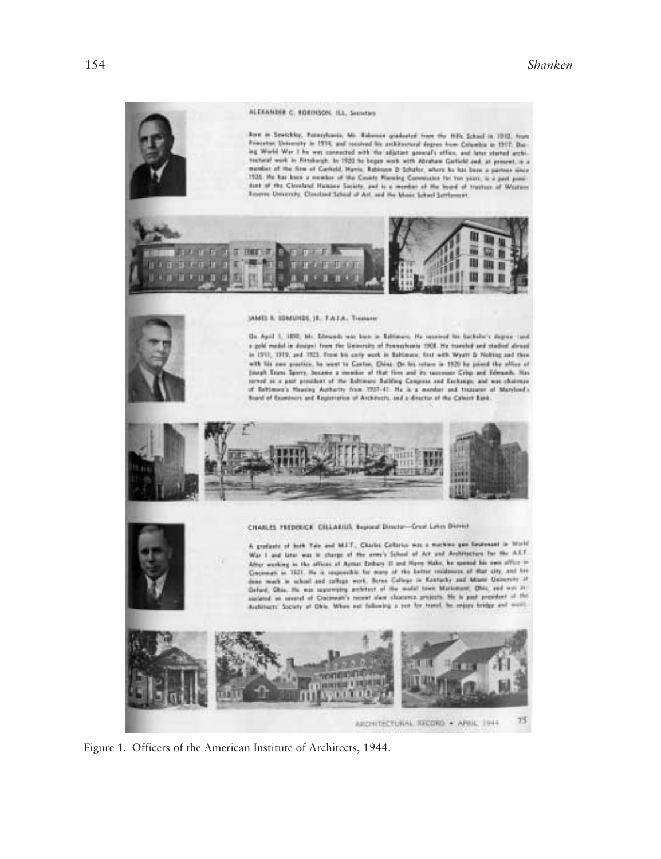

Figure 1. Officers of the American Institute of Architects, 1944.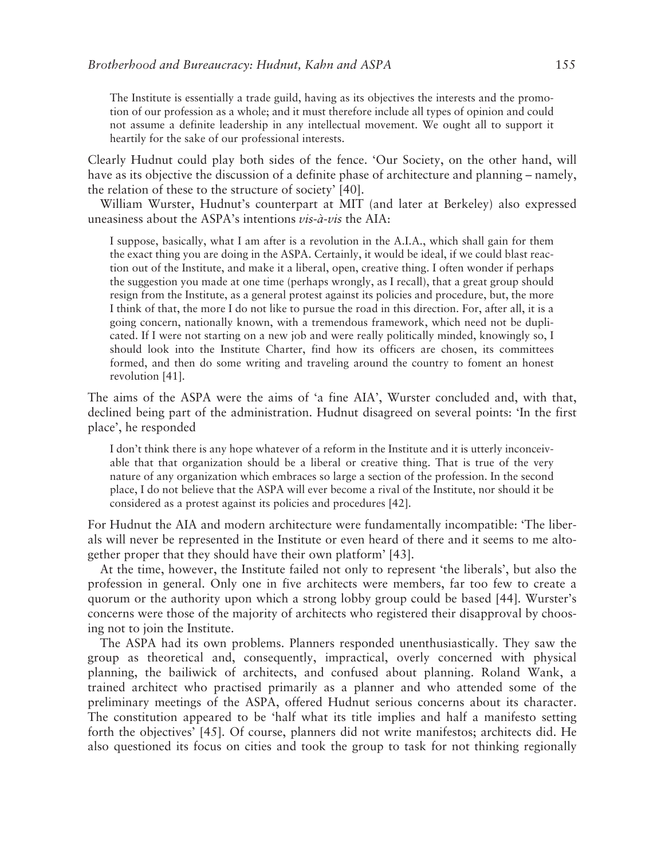The Institute is essentially a trade guild, having as its objectives the interests and the promotion of our profession as a whole; and it must therefore include all types of opinion and could not assume a definite leadership in any intellectual movement. We ought all to support it heartily for the sake of our professional interests.

Clearly Hudnut could play both sides of the fence. 'Our Society, on the other hand, will have as its objective the discussion of a definite phase of architecture and planning – namely, the relation of these to the structure of society' [40].

William Wurster, Hudnut's counterpart at MIT (and later at Berkeley) also expressed uneasiness about the ASPA's intentions *vis-à-vis* the AIA:

I suppose, basically, what I am after is a revolution in the A.I.A., which shall gain for them the exact thing you are doing in the ASPA. Certainly, it would be ideal, if we could blast reaction out of the Institute, and make it a liberal, open, creative thing. I often wonder if perhaps the suggestion you made at one time (perhaps wrongly, as I recall), that a great group should resign from the Institute, as a general protest against its policies and procedure, but, the more I think of that, the more I do not like to pursue the road in this direction. For, after all, it is a going concern, nationally known, with a tremendous framework, which need not be duplicated. If I were not starting on a new job and were really politically minded, knowingly so, I should look into the Institute Charter, find how its officers are chosen, its committees formed, and then do some writing and traveling around the country to foment an honest revolution [41].

The aims of the ASPA were the aims of 'a fine AIA', Wurster concluded and, with that, declined being part of the administration. Hudnut disagreed on several points: 'In the first place', he responded

I don't think there is any hope whatever of a reform in the Institute and it is utterly inconceivable that that organization should be a liberal or creative thing. That is true of the very nature of any organization which embraces so large a section of the profession. In the second place, I do not believe that the ASPA will ever become a rival of the Institute, nor should it be considered as a protest against its policies and procedures [42].

For Hudnut the AIA and modern architecture were fundamentally incompatible: 'The liberals will never be represented in the Institute or even heard of there and it seems to me altogether proper that they should have their own platform' [43].

At the time, however, the Institute failed not only to represent 'the liberals', but also the profession in general. Only one in five architects were members, far too few to create a quorum or the authority upon which a strong lobby group could be based [44]. Wurster's concerns were those of the majority of architects who registered their disapproval by choosing not to join the Institute.

The ASPA had its own problems. Planners responded unenthusiastically. They saw the group as theoretical and, consequently, impractical, overly concerned with physical planning, the bailiwick of architects, and confused about planning. Roland Wank, a trained architect who practised primarily as a planner and who attended some of the preliminary meetings of the ASPA, offered Hudnut serious concerns about its character. The constitution appeared to be 'half what its title implies and half a manifesto setting forth the objectives' [45]. Of course, planners did not write manifestos; architects did. He also questioned its focus on cities and took the group to task for not thinking regionally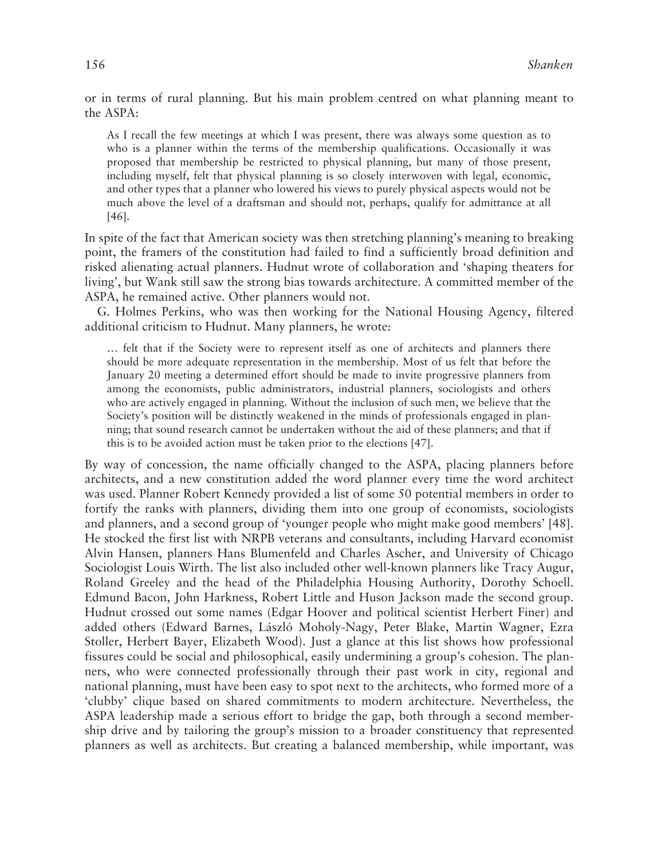or in terms of rural planning. But his main problem centred on what planning meant to the ASPA:

As I recall the few meetings at which I was present, there was always some question as to who is a planner within the terms of the membership qualifications. Occasionally it was proposed that membership be restricted to physical planning, but many of those present, including myself, felt that physical planning is so closely interwoven with legal, economic, and other types that a planner who lowered his views to purely physical aspects would not be much above the level of a draftsman and should not, perhaps, qualify for admittance at all [46].

In spite of the fact that American society was then stretching planning's meaning to breaking point, the framers of the constitution had failed to find a sufficiently broad definition and risked alienating actual planners. Hudnut wrote of collaboration and 'shaping theaters for living', but Wank still saw the strong bias towards architecture. A committed member of the ASPA, he remained active. Other planners would not.

G. Holmes Perkins, who was then working for the National Housing Agency, filtered additional criticism to Hudnut. Many planners, he wrote:

… felt that if the Society were to represent itself as one of architects and planners there should be more adequate representation in the membership. Most of us felt that before the January 20 meeting a determined effort should be made to invite progressive planners from among the economists, public administrators, industrial planners, sociologists and others who are actively engaged in planning. Without the inclusion of such men, we believe that the Society's position will be distinctly weakened in the minds of professionals engaged in planning; that sound research cannot be undertaken without the aid of these planners; and that if this is to be avoided action must be taken prior to the elections [47].

By way of concession, the name officially changed to the ASPA, placing planners before architects, and a new constitution added the word planner every time the word architect was used. Planner Robert Kennedy provided a list of some 50 potential members in order to fortify the ranks with planners, dividing them into one group of economists, sociologists and planners, and a second group of 'younger people who might make good members' [48]. He stocked the first list with NRPB veterans and consultants, including Harvard economist Alvin Hansen, planners Hans Blumenfeld and Charles Ascher, and University of Chicago Sociologist Louis Wirth. The list also included other well-known planners like Tracy Augur, Roland Greeley and the head of the Philadelphia Housing Authority, Dorothy Schoell. Edmund Bacon, John Harkness, Robert Little and Huson Jackson made the second group. Hudnut crossed out some names (Edgar Hoover and political scientist Herbert Finer) and added others (Edward Barnes, László Moholy-Nagy, Peter Blake, Martin Wagner, Ezra Stoller, Herbert Bayer, Elizabeth Wood). Just a glance at this list shows how professional fissures could be social and philosophical, easily undermining a group's cohesion. The planners, who were connected professionally through their past work in city, regional and national planning, must have been easy to spot next to the architects, who formed more of a 'clubby' clique based on shared commitments to modern architecture. Nevertheless, the ASPA leadership made a serious effort to bridge the gap, both through a second membership drive and by tailoring the group's mission to a broader constituency that represented planners as well as architects. But creating a balanced membership, while important, was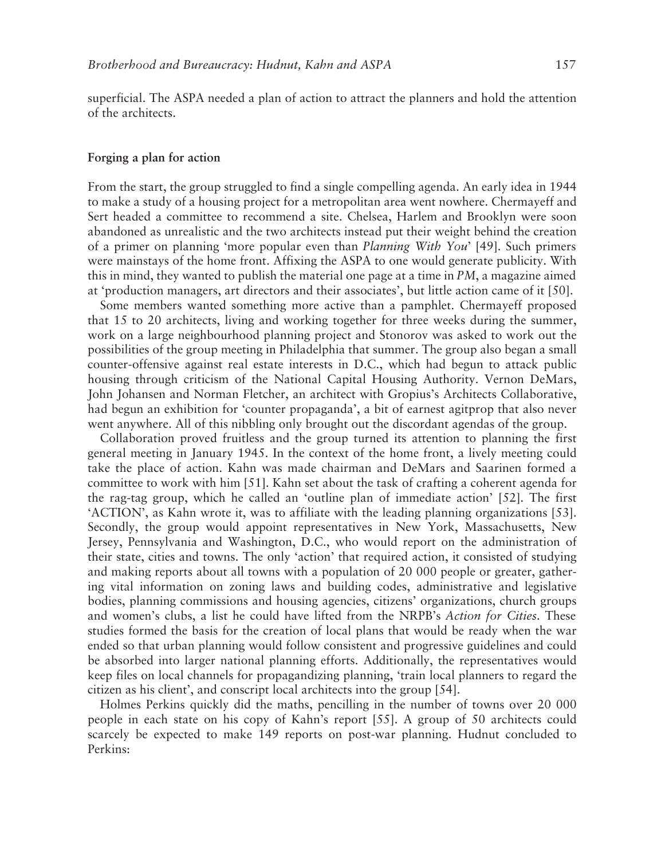superficial. The ASPA needed a plan of action to attract the planners and hold the attention of the architects.

# **Forging a plan for action**

From the start, the group struggled to find a single compelling agenda. An early idea in 1944 to make a study of a housing project for a metropolitan area went nowhere. Chermayeff and Sert headed a committee to recommend a site. Chelsea, Harlem and Brooklyn were soon abandoned as unrealistic and the two architects instead put their weight behind the creation of a primer on planning 'more popular even than *Planning With You*' [49]. Such primers were mainstays of the home front. Affixing the ASPA to one would generate publicity. With this in mind, they wanted to publish the material one page at a time in *PM*, a magazine aimed at 'production managers, art directors and their associates', but little action came of it [50].

Some members wanted something more active than a pamphlet. Chermayeff proposed that 15 to 20 architects, living and working together for three weeks during the summer, work on a large neighbourhood planning project and Stonorov was asked to work out the possibilities of the group meeting in Philadelphia that summer. The group also began a small counter-offensive against real estate interests in D.C., which had begun to attack public housing through criticism of the National Capital Housing Authority. Vernon DeMars, John Johansen and Norman Fletcher, an architect with Gropius's Architects Collaborative, had begun an exhibition for 'counter propaganda', a bit of earnest agitprop that also never went anywhere. All of this nibbling only brought out the discordant agendas of the group.

Collaboration proved fruitless and the group turned its attention to planning the first general meeting in January 1945. In the context of the home front, a lively meeting could take the place of action. Kahn was made chairman and DeMars and Saarinen formed a committee to work with him [51]. Kahn set about the task of crafting a coherent agenda for the rag-tag group, which he called an 'outline plan of immediate action' [52]. The first 'ACTION', as Kahn wrote it, was to affiliate with the leading planning organizations [53]. Secondly, the group would appoint representatives in New York, Massachusetts, New Jersey, Pennsylvania and Washington, D.C., who would report on the administration of their state, cities and towns. The only 'action' that required action, it consisted of studying and making reports about all towns with a population of 20 000 people or greater, gathering vital information on zoning laws and building codes, administrative and legislative bodies, planning commissions and housing agencies, citizens' organizations, church groups and women's clubs, a list he could have lifted from the NRPB's *Action for Cities*. These studies formed the basis for the creation of local plans that would be ready when the war ended so that urban planning would follow consistent and progressive guidelines and could be absorbed into larger national planning efforts. Additionally, the representatives would keep files on local channels for propagandizing planning, 'train local planners to regard the citizen as his client', and conscript local architects into the group [54].

Holmes Perkins quickly did the maths, pencilling in the number of towns over 20 000 people in each state on his copy of Kahn's report [55]. A group of 50 architects could scarcely be expected to make 149 reports on post-war planning. Hudnut concluded to Perkins: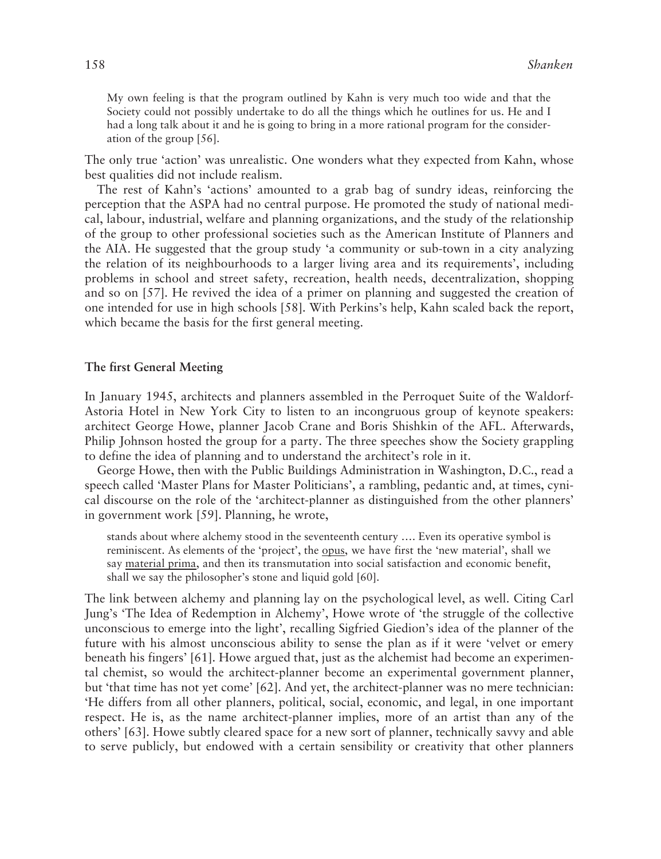My own feeling is that the program outlined by Kahn is very much too wide and that the Society could not possibly undertake to do all the things which he outlines for us. He and I had a long talk about it and he is going to bring in a more rational program for the consideration of the group [56].

The only true 'action' was unrealistic. One wonders what they expected from Kahn, whose best qualities did not include realism.

The rest of Kahn's 'actions' amounted to a grab bag of sundry ideas, reinforcing the perception that the ASPA had no central purpose. He promoted the study of national medical, labour, industrial, welfare and planning organizations, and the study of the relationship of the group to other professional societies such as the American Institute of Planners and the AIA. He suggested that the group study 'a community or sub-town in a city analyzing the relation of its neighbourhoods to a larger living area and its requirements', including problems in school and street safety, recreation, health needs, decentralization, shopping and so on [57]. He revived the idea of a primer on planning and suggested the creation of one intended for use in high schools [58]. With Perkins's help, Kahn scaled back the report, which became the basis for the first general meeting.

# **The first General Meeting**

In January 1945, architects and planners assembled in the Perroquet Suite of the Waldorf-Astoria Hotel in New York City to listen to an incongruous group of keynote speakers: architect George Howe, planner Jacob Crane and Boris Shishkin of the AFL. Afterwards, Philip Johnson hosted the group for a party. The three speeches show the Society grappling to define the idea of planning and to understand the architect's role in it.

George Howe, then with the Public Buildings Administration in Washington, D.C., read a speech called 'Master Plans for Master Politicians', a rambling, pedantic and, at times, cynical discourse on the role of the 'architect-planner as distinguished from the other planners' in government work [59]. Planning, he wrote,

stands about where alchemy stood in the seventeenth century …. Even its operative symbol is reminiscent. As elements of the 'project', the opus, we have first the 'new material', shall we say material prima, and then its transmutation into social satisfaction and economic benefit, shall we say the philosopher's stone and liquid gold [60].

The link between alchemy and planning lay on the psychological level, as well. Citing Carl Jung's 'The Idea of Redemption in Alchemy', Howe wrote of 'the struggle of the collective unconscious to emerge into the light', recalling Sigfried Giedion's idea of the planner of the future with his almost unconscious ability to sense the plan as if it were 'velvet or emery beneath his fingers' [61]. Howe argued that, just as the alchemist had become an experimental chemist, so would the architect-planner become an experimental government planner, but 'that time has not yet come' [62]. And yet, the architect-planner was no mere technician: 'He differs from all other planners, political, social, economic, and legal, in one important respect. He is, as the name architect-planner implies, more of an artist than any of the others' [63]. Howe subtly cleared space for a new sort of planner, technically savvy and able to serve publicly, but endowed with a certain sensibility or creativity that other planners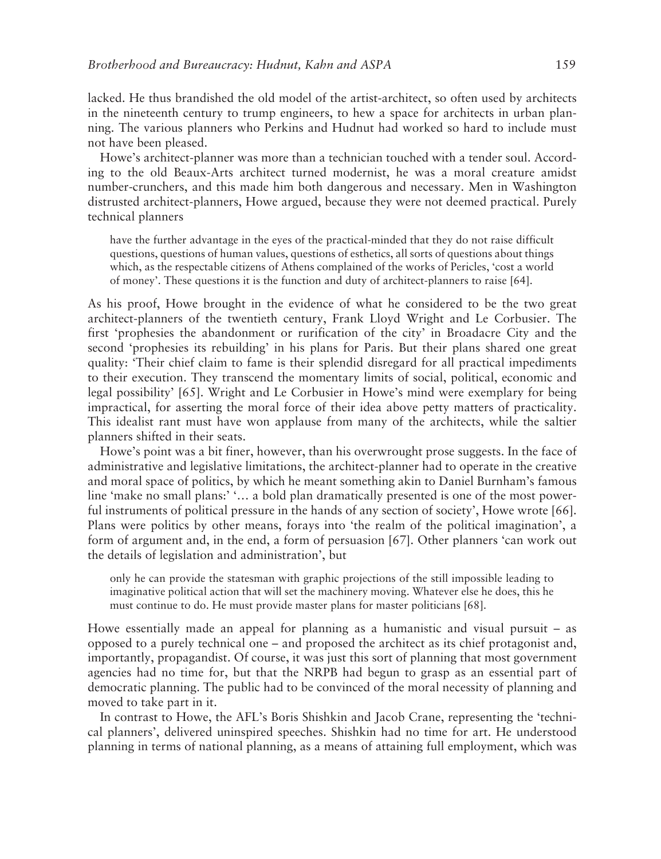lacked. He thus brandished the old model of the artist-architect, so often used by architects in the nineteenth century to trump engineers, to hew a space for architects in urban planning. The various planners who Perkins and Hudnut had worked so hard to include must not have been pleased.

Howe's architect-planner was more than a technician touched with a tender soul. According to the old Beaux-Arts architect turned modernist, he was a moral creature amidst number-crunchers, and this made him both dangerous and necessary. Men in Washington distrusted architect-planners, Howe argued, because they were not deemed practical. Purely technical planners

have the further advantage in the eyes of the practical-minded that they do not raise difficult questions, questions of human values, questions of esthetics, all sorts of questions about things which, as the respectable citizens of Athens complained of the works of Pericles, 'cost a world of money'. These questions it is the function and duty of architect-planners to raise [64].

As his proof, Howe brought in the evidence of what he considered to be the two great architect-planners of the twentieth century, Frank Lloyd Wright and Le Corbusier. The first 'prophesies the abandonment or rurification of the city' in Broadacre City and the second 'prophesies its rebuilding' in his plans for Paris. But their plans shared one great quality: 'Their chief claim to fame is their splendid disregard for all practical impediments to their execution. They transcend the momentary limits of social, political, economic and legal possibility' [65]. Wright and Le Corbusier in Howe's mind were exemplary for being impractical, for asserting the moral force of their idea above petty matters of practicality. This idealist rant must have won applause from many of the architects, while the saltier planners shifted in their seats.

Howe's point was a bit finer, however, than his overwrought prose suggests. In the face of administrative and legislative limitations, the architect-planner had to operate in the creative and moral space of politics, by which he meant something akin to Daniel Burnham's famous line 'make no small plans:' '… a bold plan dramatically presented is one of the most powerful instruments of political pressure in the hands of any section of society', Howe wrote [66]. Plans were politics by other means, forays into 'the realm of the political imagination', a form of argument and, in the end, a form of persuasion [67]. Other planners 'can work out the details of legislation and administration', but

only he can provide the statesman with graphic projections of the still impossible leading to imaginative political action that will set the machinery moving. Whatever else he does, this he must continue to do. He must provide master plans for master politicians [68].

Howe essentially made an appeal for planning as a humanistic and visual pursuit – as opposed to a purely technical one – and proposed the architect as its chief protagonist and, importantly, propagandist. Of course, it was just this sort of planning that most government agencies had no time for, but that the NRPB had begun to grasp as an essential part of democratic planning. The public had to be convinced of the moral necessity of planning and moved to take part in it.

In contrast to Howe, the AFL's Boris Shishkin and Jacob Crane, representing the 'technical planners', delivered uninspired speeches. Shishkin had no time for art. He understood planning in terms of national planning, as a means of attaining full employment, which was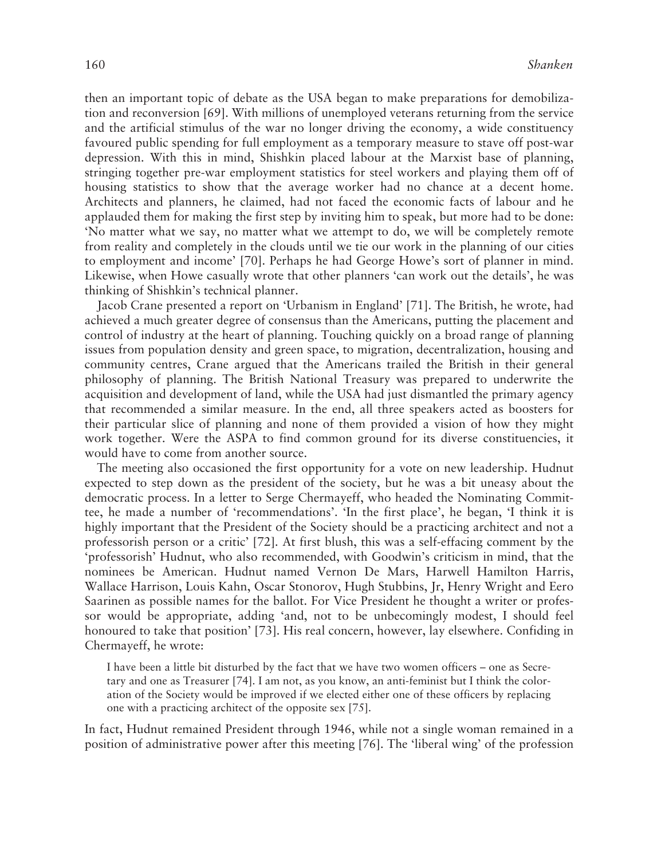then an important topic of debate as the USA began to make preparations for demobilization and reconversion [69]. With millions of unemployed veterans returning from the service and the artificial stimulus of the war no longer driving the economy, a wide constituency favoured public spending for full employment as a temporary measure to stave off post-war depression. With this in mind, Shishkin placed labour at the Marxist base of planning, stringing together pre-war employment statistics for steel workers and playing them off of housing statistics to show that the average worker had no chance at a decent home. Architects and planners, he claimed, had not faced the economic facts of labour and he applauded them for making the first step by inviting him to speak, but more had to be done: 'No matter what we say, no matter what we attempt to do, we will be completely remote from reality and completely in the clouds until we tie our work in the planning of our cities to employment and income' [70]. Perhaps he had George Howe's sort of planner in mind. Likewise, when Howe casually wrote that other planners 'can work out the details', he was thinking of Shishkin's technical planner.

Jacob Crane presented a report on 'Urbanism in England' [71]. The British, he wrote, had achieved a much greater degree of consensus than the Americans, putting the placement and control of industry at the heart of planning. Touching quickly on a broad range of planning issues from population density and green space, to migration, decentralization, housing and community centres, Crane argued that the Americans trailed the British in their general philosophy of planning. The British National Treasury was prepared to underwrite the acquisition and development of land, while the USA had just dismantled the primary agency that recommended a similar measure. In the end, all three speakers acted as boosters for their particular slice of planning and none of them provided a vision of how they might work together. Were the ASPA to find common ground for its diverse constituencies, it would have to come from another source.

The meeting also occasioned the first opportunity for a vote on new leadership. Hudnut expected to step down as the president of the society, but he was a bit uneasy about the democratic process. In a letter to Serge Chermayeff, who headed the Nominating Committee, he made a number of 'recommendations'. 'In the first place', he began, 'I think it is highly important that the President of the Society should be a practicing architect and not a professorish person or a critic' [72]. At first blush, this was a self-effacing comment by the 'professorish' Hudnut, who also recommended, with Goodwin's criticism in mind, that the nominees be American. Hudnut named Vernon De Mars, Harwell Hamilton Harris, Wallace Harrison, Louis Kahn, Oscar Stonorov, Hugh Stubbins, Jr, Henry Wright and Eero Saarinen as possible names for the ballot. For Vice President he thought a writer or professor would be appropriate, adding 'and, not to be unbecomingly modest, I should feel honoured to take that position' [73]. His real concern, however, lay elsewhere. Confiding in Chermayeff, he wrote:

I have been a little bit disturbed by the fact that we have two women officers – one as Secretary and one as Treasurer [74]. I am not, as you know, an anti-feminist but I think the coloration of the Society would be improved if we elected either one of these officers by replacing one with a practicing architect of the opposite sex [75].

In fact, Hudnut remained President through 1946, while not a single woman remained in a position of administrative power after this meeting [76]. The 'liberal wing' of the profession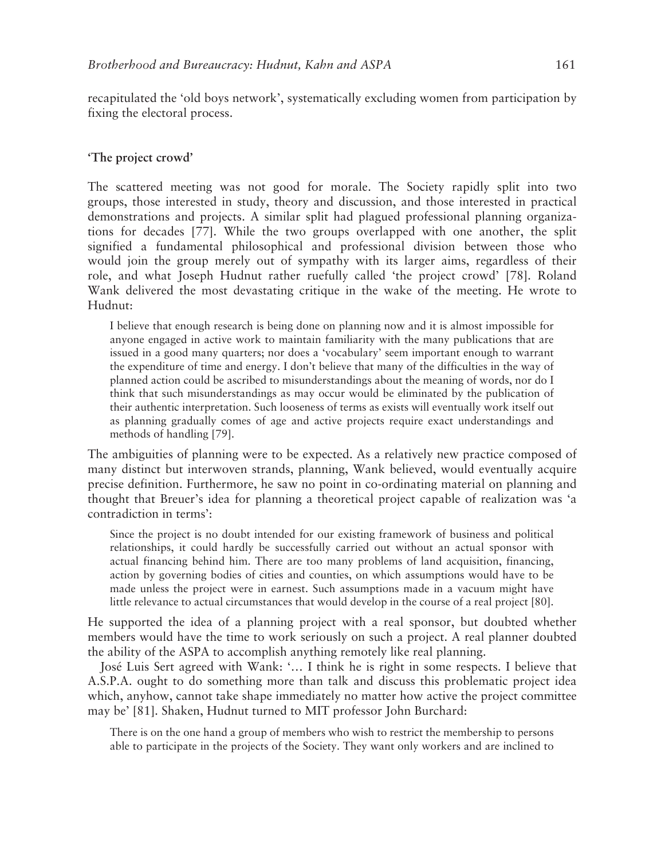recapitulated the 'old boys network', systematically excluding women from participation by fixing the electoral process.

# **'The project crowd'**

The scattered meeting was not good for morale. The Society rapidly split into two groups, those interested in study, theory and discussion, and those interested in practical demonstrations and projects. A similar split had plagued professional planning organizations for decades [77]. While the two groups overlapped with one another, the split signified a fundamental philosophical and professional division between those who would join the group merely out of sympathy with its larger aims, regardless of their role, and what Joseph Hudnut rather ruefully called 'the project crowd' [78]. Roland Wank delivered the most devastating critique in the wake of the meeting. He wrote to Hudnut:

I believe that enough research is being done on planning now and it is almost impossible for anyone engaged in active work to maintain familiarity with the many publications that are issued in a good many quarters; nor does a 'vocabulary' seem important enough to warrant the expenditure of time and energy. I don't believe that many of the difficulties in the way of planned action could be ascribed to misunderstandings about the meaning of words, nor do I think that such misunderstandings as may occur would be eliminated by the publication of their authentic interpretation. Such looseness of terms as exists will eventually work itself out as planning gradually comes of age and active projects require exact understandings and methods of handling [79].

The ambiguities of planning were to be expected. As a relatively new practice composed of many distinct but interwoven strands, planning, Wank believed, would eventually acquire precise definition. Furthermore, he saw no point in co-ordinating material on planning and thought that Breuer's idea for planning a theoretical project capable of realization was 'a contradiction in terms':

Since the project is no doubt intended for our existing framework of business and political relationships, it could hardly be successfully carried out without an actual sponsor with actual financing behind him. There are too many problems of land acquisition, financing, action by governing bodies of cities and counties, on which assumptions would have to be made unless the project were in earnest. Such assumptions made in a vacuum might have little relevance to actual circumstances that would develop in the course of a real project [80].

He supported the idea of a planning project with a real sponsor, but doubted whether members would have the time to work seriously on such a project. A real planner doubted the ability of the ASPA to accomplish anything remotely like real planning.

José Luis Sert agreed with Wank: '… I think he is right in some respects. I believe that A.S.P.A. ought to do something more than talk and discuss this problematic project idea which, anyhow, cannot take shape immediately no matter how active the project committee may be' [81]. Shaken, Hudnut turned to MIT professor John Burchard:

There is on the one hand a group of members who wish to restrict the membership to persons able to participate in the projects of the Society. They want only workers and are inclined to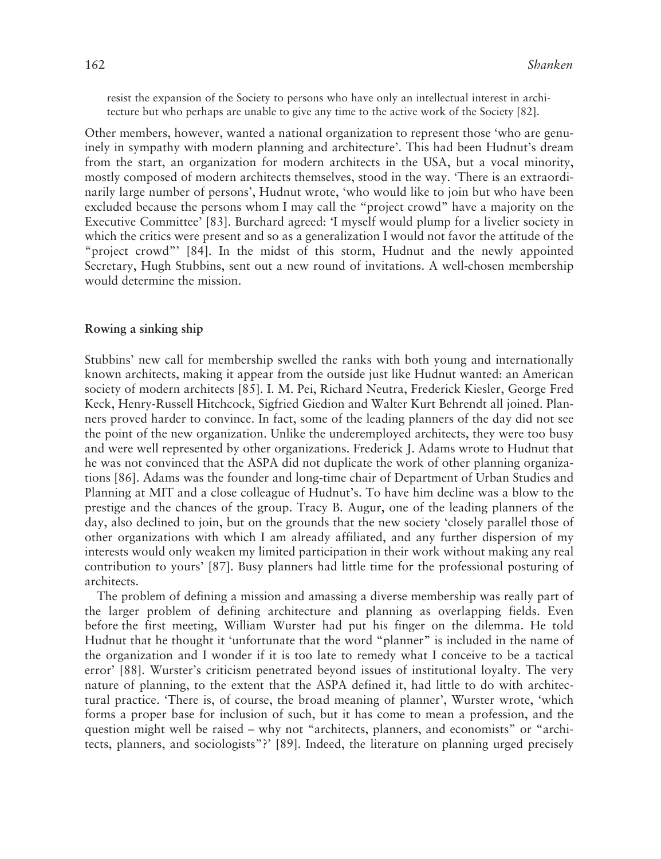resist the expansion of the Society to persons who have only an intellectual interest in architecture but who perhaps are unable to give any time to the active work of the Society [82].

Other members, however, wanted a national organization to represent those 'who are genuinely in sympathy with modern planning and architecture'. This had been Hudnut's dream from the start, an organization for modern architects in the USA, but a vocal minority, mostly composed of modern architects themselves, stood in the way. 'There is an extraordinarily large number of persons', Hudnut wrote, 'who would like to join but who have been excluded because the persons whom I may call the "project crowd" have a majority on the Executive Committee' [83]. Burchard agreed: 'I myself would plump for a livelier society in which the critics were present and so as a generalization I would not favor the attitude of the "project crowd"' [84]. In the midst of this storm, Hudnut and the newly appointed Secretary, Hugh Stubbins, sent out a new round of invitations. A well-chosen membership would determine the mission.

#### **Rowing a sinking ship**

Stubbins' new call for membership swelled the ranks with both young and internationally known architects, making it appear from the outside just like Hudnut wanted: an American society of modern architects [85]. I. M. Pei, Richard Neutra, Frederick Kiesler, George Fred Keck, Henry-Russell Hitchcock, Sigfried Giedion and Walter Kurt Behrendt all joined. Planners proved harder to convince. In fact, some of the leading planners of the day did not see the point of the new organization. Unlike the underemployed architects, they were too busy and were well represented by other organizations. Frederick J. Adams wrote to Hudnut that he was not convinced that the ASPA did not duplicate the work of other planning organizations [86]. Adams was the founder and long-time chair of Department of Urban Studies and Planning at MIT and a close colleague of Hudnut's. To have him decline was a blow to the prestige and the chances of the group. Tracy B. Augur, one of the leading planners of the day, also declined to join, but on the grounds that the new society 'closely parallel those of other organizations with which I am already affiliated, and any further dispersion of my interests would only weaken my limited participation in their work without making any real contribution to yours' [87]. Busy planners had little time for the professional posturing of architects.

The problem of defining a mission and amassing a diverse membership was really part of the larger problem of defining architecture and planning as overlapping fields. Even before the first meeting, William Wurster had put his finger on the dilemma. He told Hudnut that he thought it 'unfortunate that the word "planner" is included in the name of the organization and I wonder if it is too late to remedy what I conceive to be a tactical error' [88]. Wurster's criticism penetrated beyond issues of institutional loyalty. The very nature of planning, to the extent that the ASPA defined it, had little to do with architectural practice. 'There is, of course, the broad meaning of planner', Wurster wrote, 'which forms a proper base for inclusion of such, but it has come to mean a profession, and the question might well be raised – why not "architects, planners, and economists" or "architects, planners, and sociologists"?' [89]. Indeed, the literature on planning urged precisely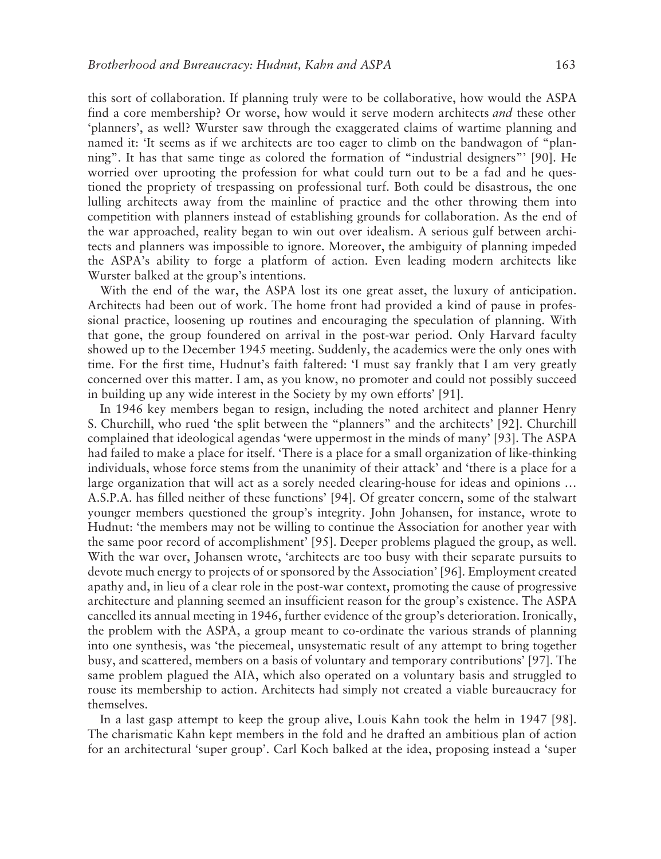this sort of collaboration. If planning truly were to be collaborative, how would the ASPA find a core membership? Or worse, how would it serve modern architects *and* these other 'planners', as well? Wurster saw through the exaggerated claims of wartime planning and named it: 'It seems as if we architects are too eager to climb on the bandwagon of "planning". It has that same tinge as colored the formation of "industrial designers"' [90]. He worried over uprooting the profession for what could turn out to be a fad and he questioned the propriety of trespassing on professional turf. Both could be disastrous, the one lulling architects away from the mainline of practice and the other throwing them into competition with planners instead of establishing grounds for collaboration. As the end of the war approached, reality began to win out over idealism. A serious gulf between architects and planners was impossible to ignore. Moreover, the ambiguity of planning impeded the ASPA's ability to forge a platform of action. Even leading modern architects like Wurster balked at the group's intentions.

With the end of the war, the ASPA lost its one great asset, the luxury of anticipation. Architects had been out of work. The home front had provided a kind of pause in professional practice, loosening up routines and encouraging the speculation of planning. With that gone, the group foundered on arrival in the post-war period. Only Harvard faculty showed up to the December 1945 meeting. Suddenly, the academics were the only ones with time. For the first time, Hudnut's faith faltered: 'I must say frankly that I am very greatly concerned over this matter. I am, as you know, no promoter and could not possibly succeed in building up any wide interest in the Society by my own efforts' [91].

In 1946 key members began to resign, including the noted architect and planner Henry S. Churchill, who rued 'the split between the "planners" and the architects' [92]. Churchill complained that ideological agendas 'were uppermost in the minds of many' [93]. The ASPA had failed to make a place for itself. 'There is a place for a small organization of like-thinking individuals, whose force stems from the unanimity of their attack' and 'there is a place for a large organization that will act as a sorely needed clearing-house for ideas and opinions … A.S.P.A. has filled neither of these functions' [94]. Of greater concern, some of the stalwart younger members questioned the group's integrity. John Johansen, for instance, wrote to Hudnut: 'the members may not be willing to continue the Association for another year with the same poor record of accomplishment' [95]. Deeper problems plagued the group, as well. With the war over, Johansen wrote, 'architects are too busy with their separate pursuits to devote much energy to projects of or sponsored by the Association' [96]. Employment created apathy and, in lieu of a clear role in the post-war context, promoting the cause of progressive architecture and planning seemed an insufficient reason for the group's existence. The ASPA cancelled its annual meeting in 1946, further evidence of the group's deterioration. Ironically, the problem with the ASPA, a group meant to co-ordinate the various strands of planning into one synthesis, was 'the piecemeal, unsystematic result of any attempt to bring together busy, and scattered, members on a basis of voluntary and temporary contributions' [97]. The same problem plagued the AIA, which also operated on a voluntary basis and struggled to rouse its membership to action. Architects had simply not created a viable bureaucracy for themselves.

In a last gasp attempt to keep the group alive, Louis Kahn took the helm in 1947 [98]. The charismatic Kahn kept members in the fold and he drafted an ambitious plan of action for an architectural 'super group'. Carl Koch balked at the idea, proposing instead a 'super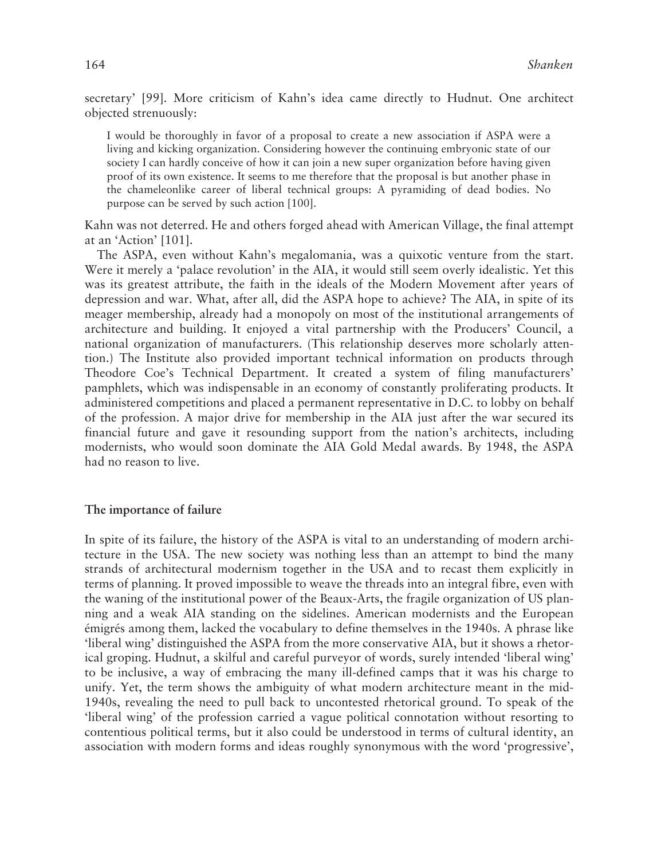secretary' [99]. More criticism of Kahn's idea came directly to Hudnut. One architect objected strenuously:

I would be thoroughly in favor of a proposal to create a new association if ASPA were a living and kicking organization. Considering however the continuing embryonic state of our society I can hardly conceive of how it can join a new super organization before having given proof of its own existence. It seems to me therefore that the proposal is but another phase in the chameleonlike career of liberal technical groups: A pyramiding of dead bodies. No purpose can be served by such action [100].

Kahn was not deterred. He and others forged ahead with American Village, the final attempt at an 'Action' [101].

The ASPA, even without Kahn's megalomania, was a quixotic venture from the start. Were it merely a 'palace revolution' in the AIA, it would still seem overly idealistic. Yet this was its greatest attribute, the faith in the ideals of the Modern Movement after years of depression and war. What, after all, did the ASPA hope to achieve? The AIA, in spite of its meager membership, already had a monopoly on most of the institutional arrangements of architecture and building. It enjoyed a vital partnership with the Producers' Council, a national organization of manufacturers. (This relationship deserves more scholarly attention.) The Institute also provided important technical information on products through Theodore Coe's Technical Department. It created a system of filing manufacturers' pamphlets, which was indispensable in an economy of constantly proliferating products. It administered competitions and placed a permanent representative in D.C. to lobby on behalf of the profession. A major drive for membership in the AIA just after the war secured its financial future and gave it resounding support from the nation's architects, including modernists, who would soon dominate the AIA Gold Medal awards. By 1948, the ASPA had no reason to live.

# **The importance of failure**

In spite of its failure, the history of the ASPA is vital to an understanding of modern architecture in the USA. The new society was nothing less than an attempt to bind the many strands of architectural modernism together in the USA and to recast them explicitly in terms of planning. It proved impossible to weave the threads into an integral fibre, even with the waning of the institutional power of the Beaux-Arts, the fragile organization of US planning and a weak AIA standing on the sidelines. American modernists and the European émigrés among them, lacked the vocabulary to define themselves in the 1940s. A phrase like 'liberal wing' distinguished the ASPA from the more conservative AIA, but it shows a rhetorical groping. Hudnut, a skilful and careful purveyor of words, surely intended 'liberal wing' to be inclusive, a way of embracing the many ill-defined camps that it was his charge to unify. Yet, the term shows the ambiguity of what modern architecture meant in the mid-1940s, revealing the need to pull back to uncontested rhetorical ground. To speak of the 'liberal wing' of the profession carried a vague political connotation without resorting to contentious political terms, but it also could be understood in terms of cultural identity, an association with modern forms and ideas roughly synonymous with the word 'progressive',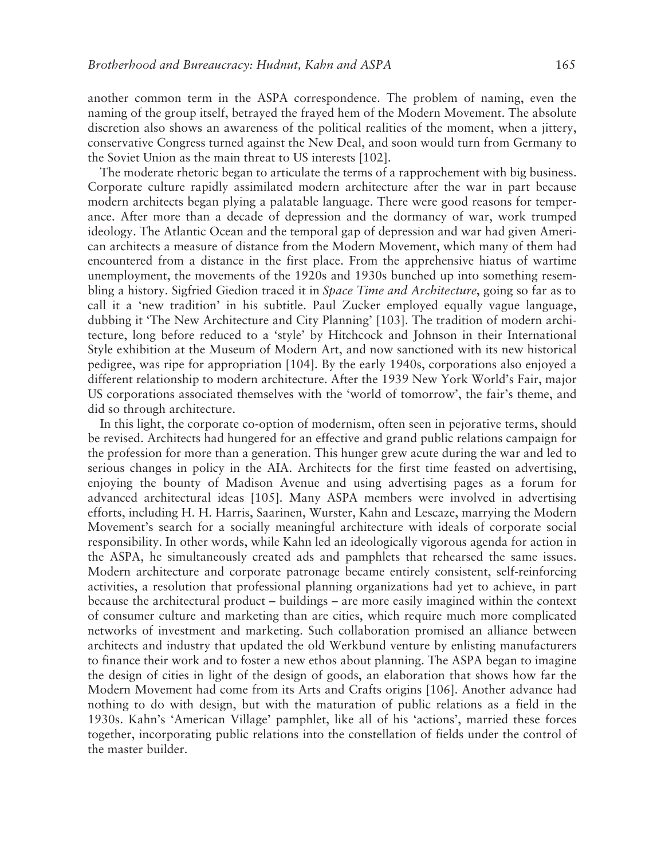another common term in the ASPA correspondence. The problem of naming, even the naming of the group itself, betrayed the frayed hem of the Modern Movement. The absolute discretion also shows an awareness of the political realities of the moment, when a jittery, conservative Congress turned against the New Deal, and soon would turn from Germany to the Soviet Union as the main threat to US interests [102].

The moderate rhetoric began to articulate the terms of a rapprochement with big business. Corporate culture rapidly assimilated modern architecture after the war in part because modern architects began plying a palatable language. There were good reasons for temperance. After more than a decade of depression and the dormancy of war, work trumped ideology. The Atlantic Ocean and the temporal gap of depression and war had given American architects a measure of distance from the Modern Movement, which many of them had encountered from a distance in the first place. From the apprehensive hiatus of wartime unemployment, the movements of the 1920s and 1930s bunched up into something resembling a history. Sigfried Giedion traced it in *Space Time and Architecture*, going so far as to call it a 'new tradition' in his subtitle. Paul Zucker employed equally vague language, dubbing it 'The New Architecture and City Planning' [103]. The tradition of modern architecture, long before reduced to a 'style' by Hitchcock and Johnson in their International Style exhibition at the Museum of Modern Art, and now sanctioned with its new historical pedigree, was ripe for appropriation [104]. By the early 1940s, corporations also enjoyed a different relationship to modern architecture. After the 1939 New York World's Fair, major US corporations associated themselves with the 'world of tomorrow', the fair's theme, and did so through architecture.

In this light, the corporate co-option of modernism, often seen in pejorative terms, should be revised. Architects had hungered for an effective and grand public relations campaign for the profession for more than a generation. This hunger grew acute during the war and led to serious changes in policy in the AIA. Architects for the first time feasted on advertising, enjoying the bounty of Madison Avenue and using advertising pages as a forum for advanced architectural ideas [105]. Many ASPA members were involved in advertising efforts, including H. H. Harris, Saarinen, Wurster, Kahn and Lescaze, marrying the Modern Movement's search for a socially meaningful architecture with ideals of corporate social responsibility. In other words, while Kahn led an ideologically vigorous agenda for action in the ASPA, he simultaneously created ads and pamphlets that rehearsed the same issues. Modern architecture and corporate patronage became entirely consistent, self-reinforcing activities, a resolution that professional planning organizations had yet to achieve, in part because the architectural product – buildings – are more easily imagined within the context of consumer culture and marketing than are cities, which require much more complicated networks of investment and marketing. Such collaboration promised an alliance between architects and industry that updated the old Werkbund venture by enlisting manufacturers to finance their work and to foster a new ethos about planning. The ASPA began to imagine the design of cities in light of the design of goods, an elaboration that shows how far the Modern Movement had come from its Arts and Crafts origins [106]. Another advance had nothing to do with design, but with the maturation of public relations as a field in the 1930s. Kahn's 'American Village' pamphlet, like all of his 'actions', married these forces together, incorporating public relations into the constellation of fields under the control of the master builder.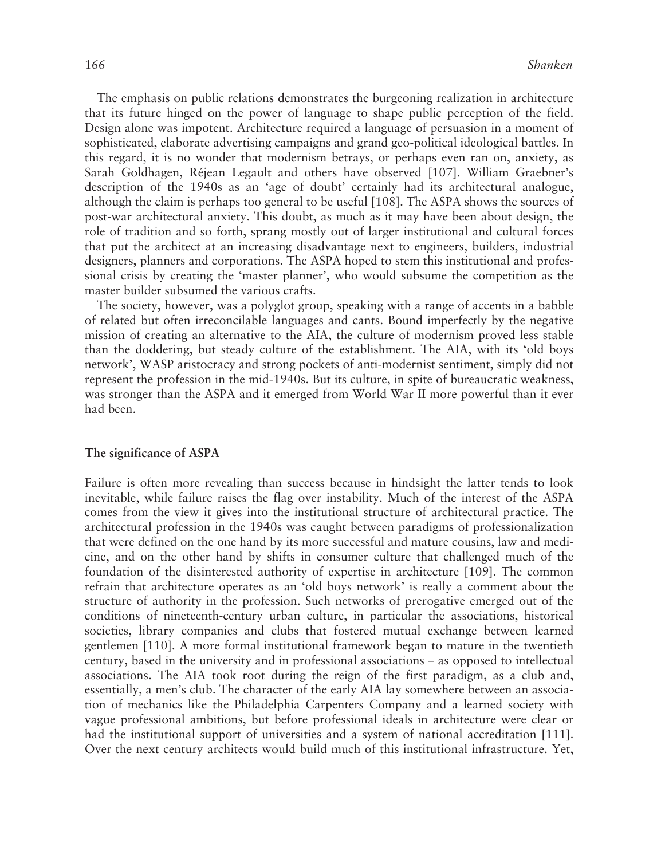The emphasis on public relations demonstrates the burgeoning realization in architecture that its future hinged on the power of language to shape public perception of the field. Design alone was impotent. Architecture required a language of persuasion in a moment of sophisticated, elaborate advertising campaigns and grand geo-political ideological battles. In this regard, it is no wonder that modernism betrays, or perhaps even ran on, anxiety, as Sarah Goldhagen, Réjean Legault and others have observed [107]. William Graebner's description of the 1940s as an 'age of doubt' certainly had its architectural analogue, although the claim is perhaps too general to be useful [108]. The ASPA shows the sources of post-war architectural anxiety. This doubt, as much as it may have been about design, the role of tradition and so forth, sprang mostly out of larger institutional and cultural forces that put the architect at an increasing disadvantage next to engineers, builders, industrial designers, planners and corporations. The ASPA hoped to stem this institutional and professional crisis by creating the 'master planner', who would subsume the competition as the master builder subsumed the various crafts.

The society, however, was a polyglot group, speaking with a range of accents in a babble of related but often irreconcilable languages and cants. Bound imperfectly by the negative mission of creating an alternative to the AIA, the culture of modernism proved less stable than the doddering, but steady culture of the establishment. The AIA, with its 'old boys network', WASP aristocracy and strong pockets of anti-modernist sentiment, simply did not represent the profession in the mid-1940s. But its culture, in spite of bureaucratic weakness, was stronger than the ASPA and it emerged from World War II more powerful than it ever had been.

### **The significance of ASPA**

Failure is often more revealing than success because in hindsight the latter tends to look inevitable, while failure raises the flag over instability. Much of the interest of the ASPA comes from the view it gives into the institutional structure of architectural practice. The architectural profession in the 1940s was caught between paradigms of professionalization that were defined on the one hand by its more successful and mature cousins, law and medicine, and on the other hand by shifts in consumer culture that challenged much of the foundation of the disinterested authority of expertise in architecture [109]. The common refrain that architecture operates as an 'old boys network' is really a comment about the structure of authority in the profession. Such networks of prerogative emerged out of the conditions of nineteenth-century urban culture, in particular the associations, historical societies, library companies and clubs that fostered mutual exchange between learned gentlemen [110]. A more formal institutional framework began to mature in the twentieth century, based in the university and in professional associations – as opposed to intellectual associations. The AIA took root during the reign of the first paradigm, as a club and, essentially, a men's club. The character of the early AIA lay somewhere between an association of mechanics like the Philadelphia Carpenters Company and a learned society with vague professional ambitions, but before professional ideals in architecture were clear or had the institutional support of universities and a system of national accreditation [111]. Over the next century architects would build much of this institutional infrastructure. Yet,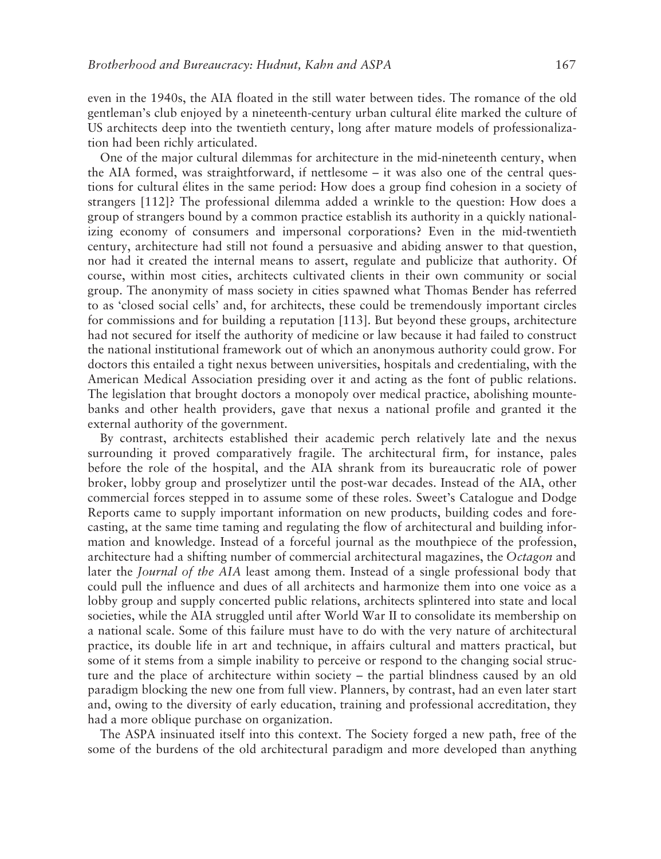even in the 1940s, the AIA floated in the still water between tides. The romance of the old gentleman's club enjoyed by a nineteenth-century urban cultural élite marked the culture of US architects deep into the twentieth century, long after mature models of professionalization had been richly articulated.

One of the major cultural dilemmas for architecture in the mid-nineteenth century, when the AIA formed, was straightforward, if nettlesome – it was also one of the central questions for cultural élites in the same period: How does a group find cohesion in a society of strangers [112]? The professional dilemma added a wrinkle to the question: How does a group of strangers bound by a common practice establish its authority in a quickly nationalizing economy of consumers and impersonal corporations? Even in the mid-twentieth century, architecture had still not found a persuasive and abiding answer to that question, nor had it created the internal means to assert, regulate and publicize that authority. Of course, within most cities, architects cultivated clients in their own community or social group. The anonymity of mass society in cities spawned what Thomas Bender has referred to as 'closed social cells' and, for architects, these could be tremendously important circles for commissions and for building a reputation [113]. But beyond these groups, architecture had not secured for itself the authority of medicine or law because it had failed to construct the national institutional framework out of which an anonymous authority could grow. For doctors this entailed a tight nexus between universities, hospitals and credentialing, with the American Medical Association presiding over it and acting as the font of public relations. The legislation that brought doctors a monopoly over medical practice, abolishing mountebanks and other health providers, gave that nexus a national profile and granted it the external authority of the government.

By contrast, architects established their academic perch relatively late and the nexus surrounding it proved comparatively fragile. The architectural firm, for instance, pales before the role of the hospital, and the AIA shrank from its bureaucratic role of power broker, lobby group and proselytizer until the post-war decades. Instead of the AIA, other commercial forces stepped in to assume some of these roles. Sweet's Catalogue and Dodge Reports came to supply important information on new products, building codes and forecasting, at the same time taming and regulating the flow of architectural and building information and knowledge. Instead of a forceful journal as the mouthpiece of the profession, architecture had a shifting number of commercial architectural magazines, the *Octagon* and later the *Journal of the AIA* least among them. Instead of a single professional body that could pull the influence and dues of all architects and harmonize them into one voice as a lobby group and supply concerted public relations, architects splintered into state and local societies, while the AIA struggled until after World War II to consolidate its membership on a national scale. Some of this failure must have to do with the very nature of architectural practice, its double life in art and technique, in affairs cultural and matters practical, but some of it stems from a simple inability to perceive or respond to the changing social structure and the place of architecture within society – the partial blindness caused by an old paradigm blocking the new one from full view. Planners, by contrast, had an even later start and, owing to the diversity of early education, training and professional accreditation, they had a more oblique purchase on organization.

The ASPA insinuated itself into this context. The Society forged a new path, free of the some of the burdens of the old architectural paradigm and more developed than anything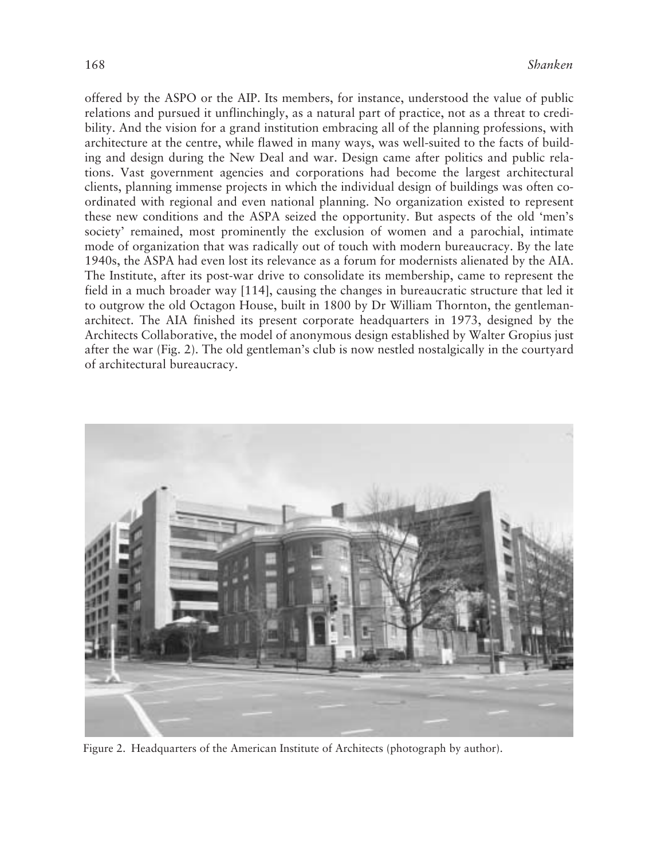offered by the ASPO or the AIP. Its members, for instance, understood the value of public relations and pursued it unflinchingly, as a natural part of practice, not as a threat to credibility. And the vision for a grand institution embracing all of the planning professions, with architecture at the centre, while flawed in many ways, was well-suited to the facts of building and design during the New Deal and war. Design came after politics and public relations. Vast government agencies and corporations had become the largest architectural clients, planning immense projects in which the individual design of buildings was often coordinated with regional and even national planning. No organization existed to represent these new conditions and the ASPA seized the opportunity. But aspects of the old 'men's society' remained, most prominently the exclusion of women and a parochial, intimate mode of organization that was radically out of touch with modern bureaucracy. By the late 1940s, the ASPA had even lost its relevance as a forum for modernists alienated by the AIA. The Institute, after its post-war drive to consolidate its membership, came to represent the field in a much broader way [114], causing the changes in bureaucratic structure that led it to outgrow the old Octagon House, built in 1800 by Dr William Thornton, the gentlemanarchitect. The AIA finished its present corporate headquarters in 1973, designed by the Architects Collaborative, the model of anonymous design established by Walter Gropius just after the war (Fig. 2). The old gentleman's club is now nestled nostalgically in the courtyard of architectural bureaucracy.



Figure 2. Headquarters of the American Institute of Architects (photograph by author).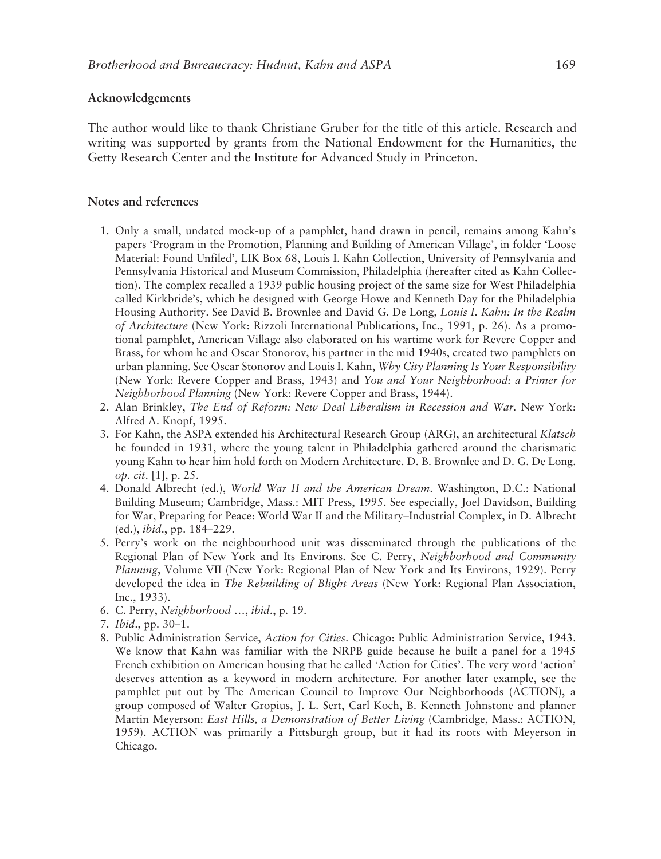# **Acknowledgements**

The author would like to thank Christiane Gruber for the title of this article. Research and writing was supported by grants from the National Endowment for the Humanities, the Getty Research Center and the Institute for Advanced Study in Princeton.

# **Notes and references**

- 1. Only a small, undated mock-up of a pamphlet, hand drawn in pencil, remains among Kahn's papers 'Program in the Promotion, Planning and Building of American Village', in folder 'Loose Material: Found Unfiled', LIK Box 68, Louis I. Kahn Collection, University of Pennsylvania and Pennsylvania Historical and Museum Commission, Philadelphia (hereafter cited as Kahn Collection). The complex recalled a 1939 public housing project of the same size for West Philadelphia called Kirkbride's, which he designed with George Howe and Kenneth Day for the Philadelphia Housing Authority. See David B. Brownlee and David G. De Long, *Louis I. Kahn: In the Realm of Architecture* (New York: Rizzoli International Publications, Inc., 1991, p. 26). As a promotional pamphlet, American Village also elaborated on his wartime work for Revere Copper and Brass, for whom he and Oscar Stonorov, his partner in the mid 1940s, created two pamphlets on urban planning. See Oscar Stonorov and Louis I. Kahn, *Why City Planning Is Your Responsibility* (New York: Revere Copper and Brass, 1943) and *You and Your Neighborhood: a Primer for Neighborhood Planning* (New York: Revere Copper and Brass, 1944).
- 2. Alan Brinkley, *The End of Reform: New Deal Liberalism in Recession and War.* New York: Alfred A. Knopf, 1995.
- 3. For Kahn, the ASPA extended his Architectural Research Group (ARG), an architectural *Klatsch* he founded in 1931, where the young talent in Philadelphia gathered around the charismatic young Kahn to hear him hold forth on Modern Architecture. D. B. Brownlee and D. G. De Long. *op. cit*. [1], p. 25.
- 4. Donald Albrecht (ed.), *World War II and the American Dream*. Washington, D.C.: National Building Museum; Cambridge, Mass.: MIT Press, 1995. See especially, Joel Davidson, Building for War, Preparing for Peace: World War II and the Military–Industrial Complex, in D. Albrecht (ed.), *ibid*., pp. 184–229.
- 5. Perry's work on the neighbourhood unit was disseminated through the publications of the Regional Plan of New York and Its Environs. See C. Perry, *Neighborhood and Community Planning*, Volume VII (New York: Regional Plan of New York and Its Environs, 1929). Perry developed the idea in *The Rebuilding of Blight Areas* (New York: Regional Plan Association, Inc., 1933).
- 6. C. Perry, *Neighborhood* …, *ibid*., p. 19.
- 7. *Ibid*., pp. 30–1.
- 8. Public Administration Service, *Action for Cities*. Chicago: Public Administration Service, 1943. We know that Kahn was familiar with the NRPB guide because he built a panel for a 1945 French exhibition on American housing that he called 'Action for Cities'. The very word 'action' deserves attention as a keyword in modern architecture. For another later example, see the pamphlet put out by The American Council to Improve Our Neighborhoods (ACTION), a group composed of Walter Gropius, J. L. Sert, Carl Koch, B. Kenneth Johnstone and planner Martin Meyerson: *East Hills, a Demonstration of Better Living* (Cambridge, Mass.: ACTION, 1959). ACTION was primarily a Pittsburgh group, but it had its roots with Meyerson in Chicago.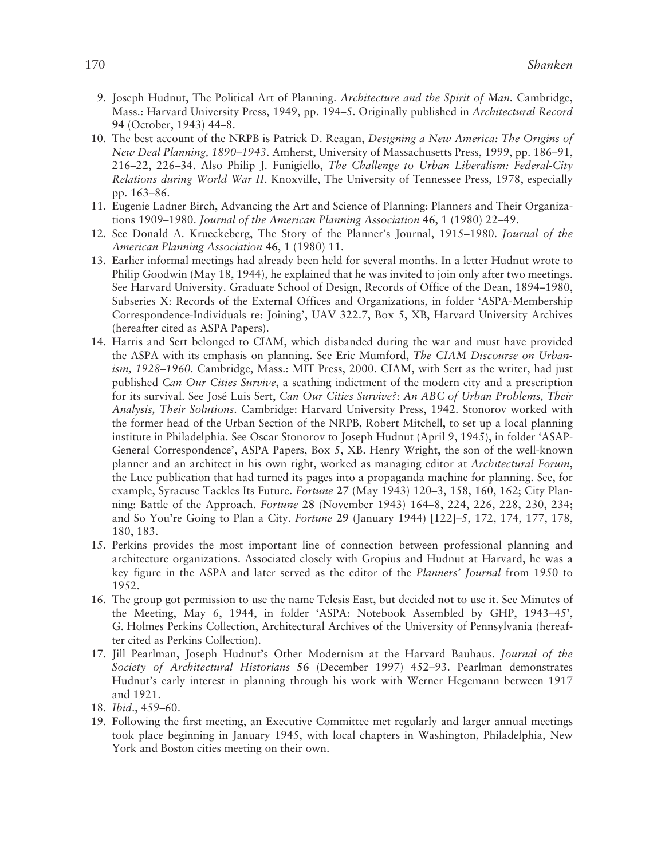- 9. Joseph Hudnut, The Political Art of Planning. *Architecture and the Spirit of Man.* Cambridge, Mass.: Harvard University Press, 1949, pp. 194–5. Originally published in *Architectural Record* **94** (October, 1943) 44–8.
- 10. The best account of the NRPB is Patrick D. Reagan, *Designing a New America: The Origins of New Deal Planning, 1890–1943*. Amherst, University of Massachusetts Press, 1999, pp. 186–91, 216–22, 226–34. Also Philip J. Funigiello, *The Challenge to Urban Liberalism: Federal-City Relations during World War II*. Knoxville, The University of Tennessee Press, 1978, especially pp. 163–86.
- 11. Eugenie Ladner Birch, Advancing the Art and Science of Planning: Planners and Their Organizations 1909–1980. *Journal of the American Planning Association* **46**, 1 (1980) 22–49.
- 12. See Donald A. Krueckeberg, The Story of the Planner's Journal, 1915–1980. *Journal of the American Planning Association* **46**, 1 (1980) 11.
- 13. Earlier informal meetings had already been held for several months. In a letter Hudnut wrote to Philip Goodwin (May 18, 1944), he explained that he was invited to join only after two meetings. See Harvard University. Graduate School of Design, Records of Office of the Dean, 1894–1980, Subseries X: Records of the External Offices and Organizations, in folder 'ASPA-Membership Correspondence-Individuals re: Joining', UAV 322.7, Box 5, XB, Harvard University Archives (hereafter cited as ASPA Papers).
- 14. Harris and Sert belonged to CIAM, which disbanded during the war and must have provided the ASPA with its emphasis on planning. See Eric Mumford, *The CIAM Discourse on Urbanism, 1928–1960*. Cambridge, Mass.: MIT Press, 2000. CIAM, with Sert as the writer, had just published *Can Our Cities Survive*, a scathing indictment of the modern city and a prescription for its survival. See José Luis Sert, *Can Our Cities Survive?: An ABC of Urban Problems, Their Analysis, Their Solutions*. Cambridge: Harvard University Press, 1942. Stonorov worked with the former head of the Urban Section of the NRPB, Robert Mitchell, to set up a local planning institute in Philadelphia. See Oscar Stonorov to Joseph Hudnut (April 9, 1945), in folder 'ASAP-General Correspondence', ASPA Papers, Box 5, XB. Henry Wright, the son of the well-known planner and an architect in his own right, worked as managing editor at *Architectural Forum*, the Luce publication that had turned its pages into a propaganda machine for planning. See, for example, Syracuse Tackles Its Future. *Fortune* **27** (May 1943) 120–3, 158, 160, 162; City Planning: Battle of the Approach. *Fortune* **28** (November 1943) 164–8, 224, 226, 228, 230, 234; and So You're Going to Plan a City. *Fortune* **29** (January 1944) [122]–5, 172, 174, 177, 178, 180, 183.
- 15. Perkins provides the most important line of connection between professional planning and architecture organizations. Associated closely with Gropius and Hudnut at Harvard, he was a key figure in the ASPA and later served as the editor of the *Planners' Journal* from 1950 to 1952.
- 16. The group got permission to use the name Telesis East, but decided not to use it. See Minutes of the Meeting, May 6, 1944, in folder 'ASPA: Notebook Assembled by GHP, 1943–45', G. Holmes Perkins Collection, Architectural Archives of the University of Pennsylvania (hereafter cited as Perkins Collection).
- 17. Jill Pearlman, Joseph Hudnut's Other Modernism at the Harvard Bauhaus. *Journal of the Society of Architectural Historians* **56** (December 1997) 452–93. Pearlman demonstrates Hudnut's early interest in planning through his work with Werner Hegemann between 1917 and 1921.

19. Following the first meeting, an Executive Committee met regularly and larger annual meetings took place beginning in January 1945, with local chapters in Washington, Philadelphia, New York and Boston cities meeting on their own.

<sup>18.</sup> *Ibid*., 459–60.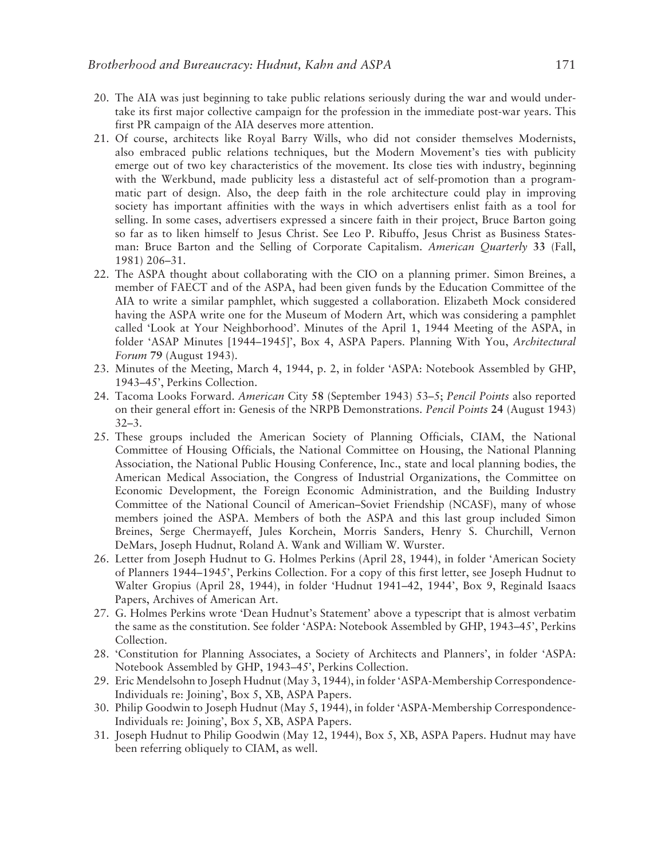- 20. The AIA was just beginning to take public relations seriously during the war and would undertake its first major collective campaign for the profession in the immediate post-war years. This first PR campaign of the AIA deserves more attention.
- 21. Of course, architects like Royal Barry Wills, who did not consider themselves Modernists, also embraced public relations techniques, but the Modern Movement's ties with publicity emerge out of two key characteristics of the movement. Its close ties with industry, beginning with the Werkbund, made publicity less a distasteful act of self-promotion than a programmatic part of design. Also, the deep faith in the role architecture could play in improving society has important affinities with the ways in which advertisers enlist faith as a tool for selling. In some cases, advertisers expressed a sincere faith in their project, Bruce Barton going so far as to liken himself to Jesus Christ. See Leo P. Ribuffo, Jesus Christ as Business Statesman: Bruce Barton and the Selling of Corporate Capitalism. *American Quarterly* **33** (Fall, 1981) 206–31.
- 22. The ASPA thought about collaborating with the CIO on a planning primer. Simon Breines, a member of FAECT and of the ASPA, had been given funds by the Education Committee of the AIA to write a similar pamphlet, which suggested a collaboration. Elizabeth Mock considered having the ASPA write one for the Museum of Modern Art, which was considering a pamphlet called 'Look at Your Neighborhood'. Minutes of the April 1, 1944 Meeting of the ASPA, in folder 'ASAP Minutes [1944–1945]', Box 4, ASPA Papers. Planning With You, *Architectural Forum* **79** (August 1943).
- 23. Minutes of the Meeting, March 4, 1944, p. 2, in folder 'ASPA: Notebook Assembled by GHP, 1943–45', Perkins Collection.
- 24. Tacoma Looks Forward. *American* City **58** (September 1943) 53–5; *Pencil Points* also reported on their general effort in: Genesis of the NRPB Demonstrations. *Pencil Points* **24** (August 1943) 32–3.
- 25. These groups included the American Society of Planning Officials, CIAM, the National Committee of Housing Officials, the National Committee on Housing, the National Planning Association, the National Public Housing Conference, Inc., state and local planning bodies, the American Medical Association, the Congress of Industrial Organizations, the Committee on Economic Development, the Foreign Economic Administration, and the Building Industry Committee of the National Council of American–Soviet Friendship (NCASF), many of whose members joined the ASPA. Members of both the ASPA and this last group included Simon Breines, Serge Chermayeff, Jules Korchein, Morris Sanders, Henry S. Churchill, Vernon DeMars, Joseph Hudnut, Roland A. Wank and William W. Wurster.
- 26. Letter from Joseph Hudnut to G. Holmes Perkins (April 28, 1944), in folder 'American Society of Planners 1944–1945', Perkins Collection. For a copy of this first letter, see Joseph Hudnut to Walter Gropius (April 28, 1944), in folder 'Hudnut 1941–42, 1944', Box 9, Reginald Isaacs Papers, Archives of American Art.
- 27. G. Holmes Perkins wrote 'Dean Hudnut's Statement' above a typescript that is almost verbatim the same as the constitution. See folder 'ASPA: Notebook Assembled by GHP, 1943–45', Perkins Collection.
- 28. 'Constitution for Planning Associates, a Society of Architects and Planners', in folder 'ASPA: Notebook Assembled by GHP, 1943–45', Perkins Collection.
- 29. Eric Mendelsohn to Joseph Hudnut (May 3, 1944), in folder 'ASPA-Membership Correspondence-Individuals re: Joining', Box 5, XB, ASPA Papers.
- 30. Philip Goodwin to Joseph Hudnut (May 5, 1944), in folder 'ASPA-Membership Correspondence-Individuals re: Joining', Box 5, XB, ASPA Papers.
- 31. Joseph Hudnut to Philip Goodwin (May 12, 1944), Box 5, XB, ASPA Papers. Hudnut may have been referring obliquely to CIAM, as well.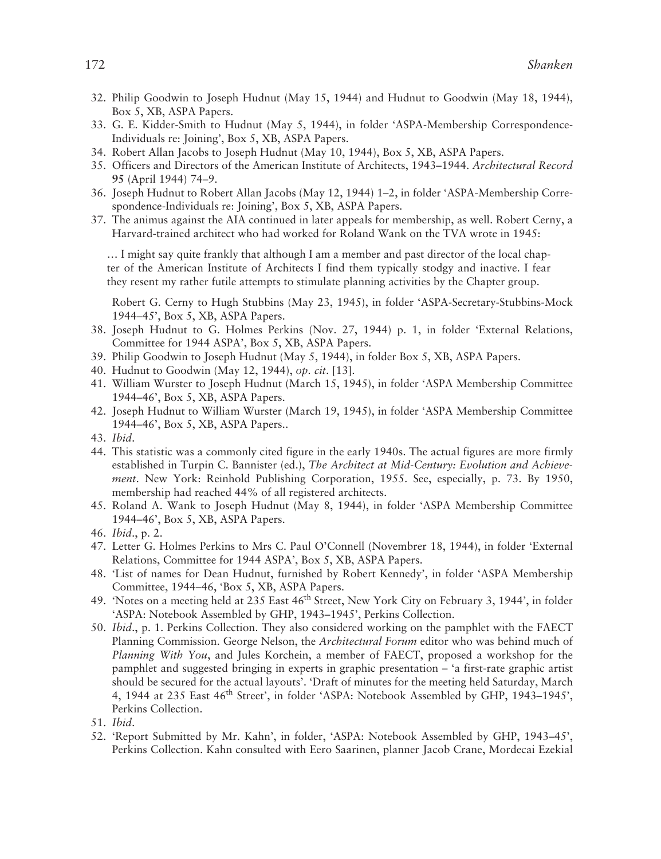- 32. Philip Goodwin to Joseph Hudnut (May 15, 1944) and Hudnut to Goodwin (May 18, 1944), Box 5, XB, ASPA Papers.
- 33. G. E. Kidder-Smith to Hudnut (May 5, 1944), in folder 'ASPA-Membership Correspondence-Individuals re: Joining', Box 5, XB, ASPA Papers.
- 34. Robert Allan Jacobs to Joseph Hudnut (May 10, 1944), Box 5, XB, ASPA Papers.
- 35. Officers and Directors of the American Institute of Architects, 1943–1944. *Architectural Record* **95** (April 1944) 74–9.
- 36. Joseph Hudnut to Robert Allan Jacobs (May 12, 1944) 1–2, in folder 'ASPA-Membership Correspondence-Individuals re: Joining', Box 5, XB, ASPA Papers.
- 37. The animus against the AIA continued in later appeals for membership, as well. Robert Cerny, a Harvard-trained architect who had worked for Roland Wank on the TVA wrote in 1945:

… I might say quite frankly that although I am a member and past director of the local chapter of the American Institute of Architects I find them typically stodgy and inactive. I fear they resent my rather futile attempts to stimulate planning activities by the Chapter group.

Robert G. Cerny to Hugh Stubbins (May 23, 1945), in folder 'ASPA-Secretary-Stubbins-Mock 1944–45', Box 5, XB, ASPA Papers.

- 38. Joseph Hudnut to G. Holmes Perkins (Nov. 27, 1944) p. 1, in folder 'External Relations, Committee for 1944 ASPA', Box 5, XB, ASPA Papers.
- 39. Philip Goodwin to Joseph Hudnut (May 5, 1944), in folder Box 5, XB, ASPA Papers.
- 40. Hudnut to Goodwin (May 12, 1944), *op. cit*. [13].
- 41. William Wurster to Joseph Hudnut (March 15, 1945), in folder 'ASPA Membership Committee 1944–46', Box 5, XB, ASPA Papers.
- 42. Joseph Hudnut to William Wurster (March 19, 1945), in folder 'ASPA Membership Committee 1944–46', Box 5, XB, ASPA Papers..
- 43. *Ibid*.
- 44. This statistic was a commonly cited figure in the early 1940s. The actual figures are more firmly established in Turpin C. Bannister (ed.), *The Architect at Mid-Century: Evolution and Achievement*. New York: Reinhold Publishing Corporation, 1955. See, especially, p. 73. By 1950, membership had reached 44% of all registered architects.
- 45. Roland A. Wank to Joseph Hudnut (May 8, 1944), in folder 'ASPA Membership Committee 1944–46', Box 5, XB, ASPA Papers.
- 46. *Ibid*., p. 2.
- 47. Letter G. Holmes Perkins to Mrs C. Paul O'Connell (Novembrer 18, 1944), in folder 'External Relations, Committee for 1944 ASPA', Box 5, XB, ASPA Papers.
- 48. 'List of names for Dean Hudnut, furnished by Robert Kennedy', in folder 'ASPA Membership Committee, 1944–46, 'Box 5, XB, ASPA Papers.
- 49. 'Notes on a meeting held at 235 East 46<sup>th</sup> Street, New York City on February 3, 1944', in folder 'ASPA: Notebook Assembled by GHP, 1943–1945', Perkins Collection.
- 50. *Ibid*., p. 1. Perkins Collection. They also considered working on the pamphlet with the FAECT Planning Commission. George Nelson, the *Architectural Forum* editor who was behind much of *Planning With You*, and Jules Korchein, a member of FAECT, proposed a workshop for the pamphlet and suggested bringing in experts in graphic presentation – 'a first-rate graphic artist should be secured for the actual layouts'. 'Draft of minutes for the meeting held Saturday, March 4, 1944 at 235 East 46th Street', in folder 'ASPA: Notebook Assembled by GHP, 1943–1945', Perkins Collection.
- 51. *Ibid*.
- 52. 'Report Submitted by Mr. Kahn', in folder, 'ASPA: Notebook Assembled by GHP, 1943–45', Perkins Collection. Kahn consulted with Eero Saarinen, planner Jacob Crane, Mordecai Ezekial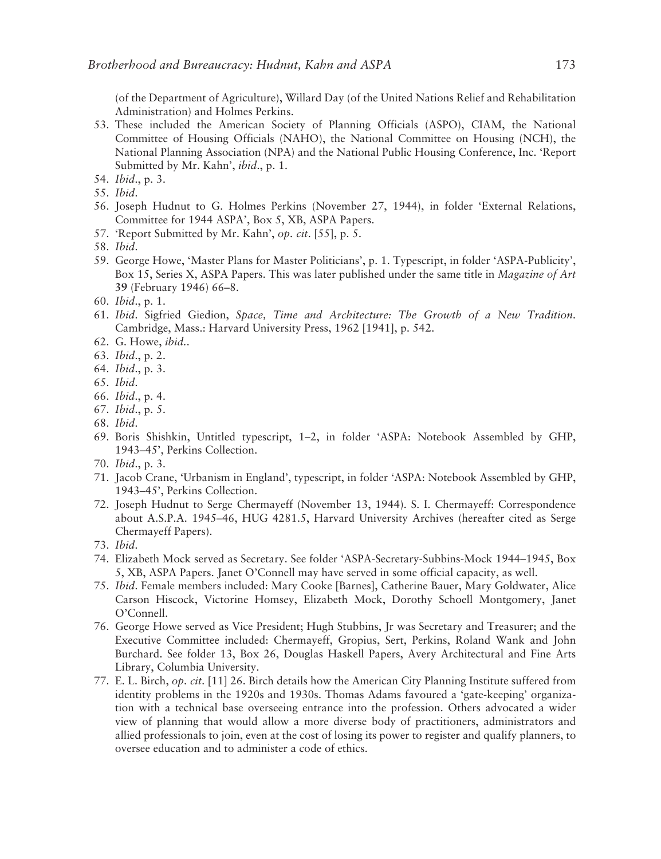(of the Department of Agriculture), Willard Day (of the United Nations Relief and Rehabilitation Administration) and Holmes Perkins.

- 53. These included the American Society of Planning Officials (ASPO), CIAM, the National Committee of Housing Officials (NAHO), the National Committee on Housing (NCH), the National Planning Association (NPA) and the National Public Housing Conference, Inc. 'Report Submitted by Mr. Kahn', *ibid*., p. 1.
- 54. *Ibid*., p. 3.
- 55. *Ibid*.
- 56. Joseph Hudnut to G. Holmes Perkins (November 27, 1944), in folder 'External Relations, Committee for 1944 ASPA', Box 5, XB, ASPA Papers.
- 57. 'Report Submitted by Mr. Kahn', *op. cit*. [55], p. 5.
- 58. *Ibid*.
- 59. George Howe, 'Master Plans for Master Politicians', p. 1. Typescript, in folder 'ASPA-Publicity', Box 15, Series X, ASPA Papers. This was later published under the same title in *Magazine of Art* **39** (February 1946) 66–8.
- 60. *Ibid*., p. 1.
- 61. *Ibid*. Sigfried Giedion, *Space, Time and Architecture: The Growth of a New Tradition*. Cambridge, Mass.: Harvard University Press, 1962 [1941], p. 542.
- 62. G. Howe, *ibid.*.
- 63. *Ibid*., p. 2.
- 64. *Ibid*., p. 3.
- 65. *Ibid*.
- 66. *Ibid*., p. 4.
- 67. *Ibid*., p. 5.
- 68. *Ibid*.
- 69. Boris Shishkin, Untitled typescript, 1–2, in folder 'ASPA: Notebook Assembled by GHP, 1943–45', Perkins Collection.
- 70. *Ibid*., p. 3.
- 71. Jacob Crane, 'Urbanism in England', typescript, in folder 'ASPA: Notebook Assembled by GHP, 1943–45', Perkins Collection.
- 72. Joseph Hudnut to Serge Chermayeff (November 13, 1944). S. I. Chermayeff: Correspondence about A.S.P.A. 1945–46, HUG 4281.5, Harvard University Archives (hereafter cited as Serge Chermayeff Papers).
- 73. *Ibid*.
- 74. Elizabeth Mock served as Secretary. See folder 'ASPA-Secretary-Subbins-Mock 1944–1945, Box 5, XB, ASPA Papers. Janet O'Connell may have served in some official capacity, as well.
- 75. *Ibid*. Female members included: Mary Cooke [Barnes], Catherine Bauer, Mary Goldwater, Alice Carson Hiscock, Victorine Homsey, Elizabeth Mock, Dorothy Schoell Montgomery, Janet O'Connell.
- 76. George Howe served as Vice President; Hugh Stubbins, Jr was Secretary and Treasurer; and the Executive Committee included: Chermayeff, Gropius, Sert, Perkins, Roland Wank and John Burchard. See folder 13, Box 26, Douglas Haskell Papers, Avery Architectural and Fine Arts Library, Columbia University.
- 77. E. L. Birch, *op. cit*. [11] 26. Birch details how the American City Planning Institute suffered from identity problems in the 1920s and 1930s. Thomas Adams favoured a 'gate-keeping' organization with a technical base overseeing entrance into the profession. Others advocated a wider view of planning that would allow a more diverse body of practitioners, administrators and allied professionals to join, even at the cost of losing its power to register and qualify planners, to oversee education and to administer a code of ethics.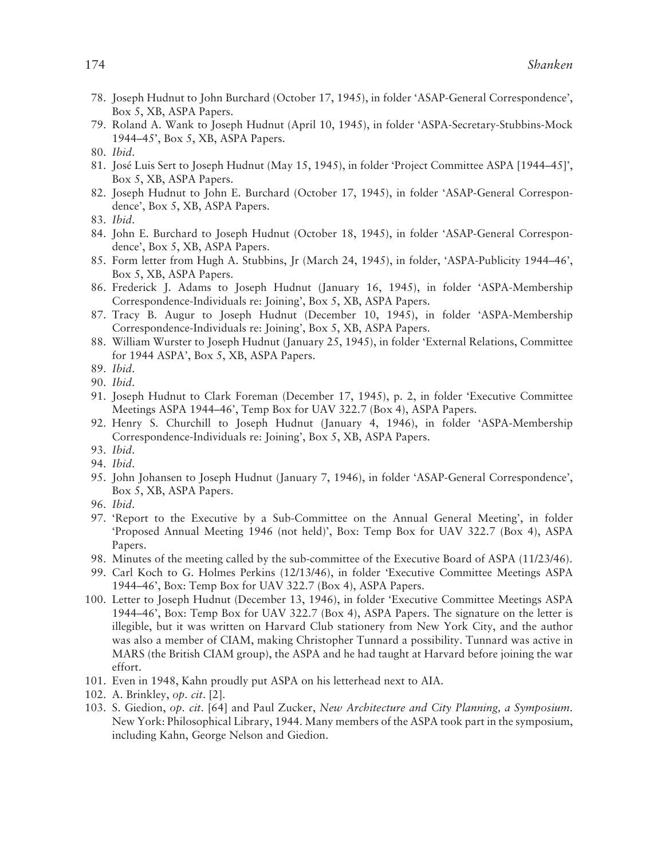- 78. Joseph Hudnut to John Burchard (October 17, 1945), in folder 'ASAP-General Correspondence', Box 5, XB, ASPA Papers.
- 79. Roland A. Wank to Joseph Hudnut (April 10, 1945), in folder 'ASPA-Secretary-Stubbins-Mock 1944–45', Box 5, XB, ASPA Papers.
- 80. *Ibid*.
- 81. José Luis Sert to Joseph Hudnut (May 15, 1945), in folder 'Project Committee ASPA [1944–45]', Box 5, XB, ASPA Papers.
- 82. Joseph Hudnut to John E. Burchard (October 17, 1945), in folder 'ASAP-General Correspondence', Box 5, XB, ASPA Papers.
- 83. *Ibid*.
- 84. John E. Burchard to Joseph Hudnut (October 18, 1945), in folder 'ASAP-General Correspondence', Box 5, XB, ASPA Papers.
- 85. Form letter from Hugh A. Stubbins, Jr (March 24, 1945), in folder, 'ASPA-Publicity 1944–46', Box 5, XB, ASPA Papers.
- 86. Frederick J. Adams to Joseph Hudnut (January 16, 1945), in folder 'ASPA-Membership Correspondence-Individuals re: Joining', Box 5, XB, ASPA Papers.
- 87. Tracy B. Augur to Joseph Hudnut (December 10, 1945), in folder 'ASPA-Membership Correspondence-Individuals re: Joining', Box 5, XB, ASPA Papers.
- 88. William Wurster to Joseph Hudnut (January 25, 1945), in folder 'External Relations, Committee for 1944 ASPA', Box 5, XB, ASPA Papers.
- 89. *Ibid*.
- 90. *Ibid*.
- 91. Joseph Hudnut to Clark Foreman (December 17, 1945), p. 2, in folder 'Executive Committee Meetings ASPA 1944–46', Temp Box for UAV 322.7 (Box 4), ASPA Papers.
- 92. Henry S. Churchill to Joseph Hudnut (January 4, 1946), in folder 'ASPA-Membership Correspondence-Individuals re: Joining', Box 5, XB, ASPA Papers.
- 93. *Ibid*.
- 94. *Ibid*.
- 95. John Johansen to Joseph Hudnut (January 7, 1946), in folder 'ASAP-General Correspondence', Box 5, XB, ASPA Papers.
- 96. *Ibid*.
- 97. 'Report to the Executive by a Sub-Committee on the Annual General Meeting', in folder 'Proposed Annual Meeting 1946 (not held)', Box: Temp Box for UAV 322.7 (Box 4), ASPA Papers.
- 98. Minutes of the meeting called by the sub-committee of the Executive Board of ASPA (11/23/46).
- 99. Carl Koch to G. Holmes Perkins (12/13/46), in folder 'Executive Committee Meetings ASPA 1944–46', Box: Temp Box for UAV 322.7 (Box 4), ASPA Papers.
- 100. Letter to Joseph Hudnut (December 13, 1946), in folder 'Executive Committee Meetings ASPA 1944–46', Box: Temp Box for UAV 322.7 (Box 4), ASPA Papers. The signature on the letter is illegible, but it was written on Harvard Club stationery from New York City, and the author was also a member of CIAM, making Christopher Tunnard a possibility. Tunnard was active in MARS (the British CIAM group), the ASPA and he had taught at Harvard before joining the war effort.
- 101. Even in 1948, Kahn proudly put ASPA on his letterhead next to AIA.
- 102. A. Brinkley, *op. cit*. [2].
- 103. S. Giedion, *op. cit*. [64] and Paul Zucker, *New Architecture and City Planning, a Symposium*. New York: Philosophical Library, 1944. Many members of the ASPA took part in the symposium, including Kahn, George Nelson and Giedion.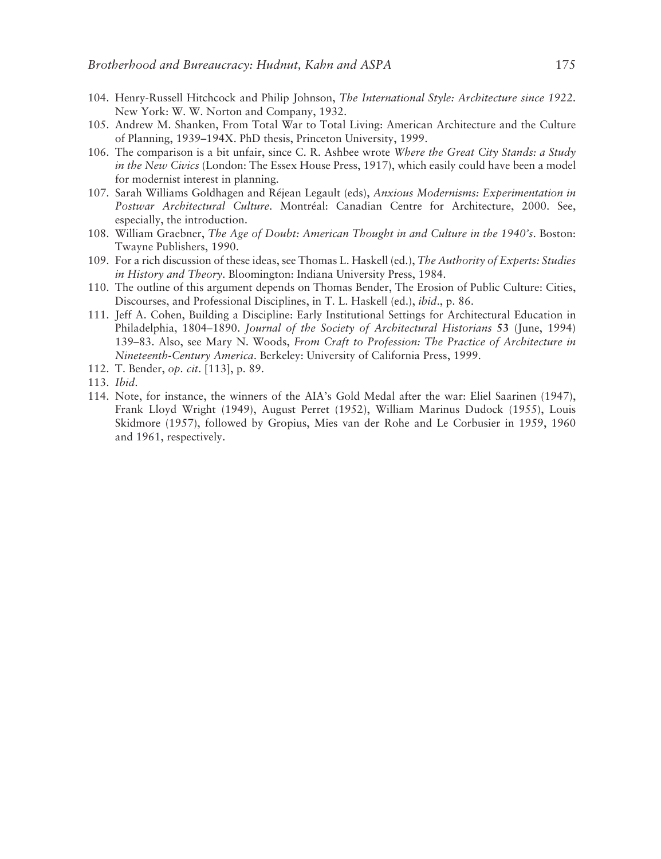- 104. Henry-Russell Hitchcock and Philip Johnson, *The International Style: Architecture since 1922*. New York: W. W. Norton and Company, 1932.
- 105. Andrew M. Shanken, From Total War to Total Living: American Architecture and the Culture of Planning, 1939–194X. PhD thesis, Princeton University, 1999.
- 106. The comparison is a bit unfair, since C. R. Ashbee wrote *Where the Great City Stands: a Study in the New Civics* (London: The Essex House Press, 1917), which easily could have been a model for modernist interest in planning.
- 107. Sarah Williams Goldhagen and Réjean Legault (eds), *Anxious Modernisms: Experimentation in Postwar Architectural Culture*. Montréal: Canadian Centre for Architecture, 2000. See, especially, the introduction.
- 108. William Graebner, *The Age of Doubt: American Thought in and Culture in the 1940's*. Boston: Twayne Publishers, 1990.
- 109. For a rich discussion of these ideas, see Thomas L. Haskell (ed.), *The Authority of Experts: Studies in History and Theory*. Bloomington: Indiana University Press, 1984.
- 110. The outline of this argument depends on Thomas Bender, The Erosion of Public Culture: Cities, Discourses, and Professional Disciplines, in T. L. Haskell (ed.), *ibid*., p. 86.
- 111. Jeff A. Cohen, Building a Discipline: Early Institutional Settings for Architectural Education in Philadelphia, 1804–1890. *Journal of the Society of Architectural Historians* **53** (June, 1994) 139–83. Also, see Mary N. Woods, *From Craft to Profession: The Practice of Architecture in Nineteenth-Century America*. Berkeley: University of California Press, 1999.
- 112. T. Bender, *op. cit*. [113], p. 89.
- 113. *Ibid*.
- 114. Note, for instance, the winners of the AIA's Gold Medal after the war: Eliel Saarinen (1947), Frank Lloyd Wright (1949), August Perret (1952), William Marinus Dudock (1955), Louis Skidmore (1957), followed by Gropius, Mies van der Rohe and Le Corbusier in 1959, 1960 and 1961, respectively.